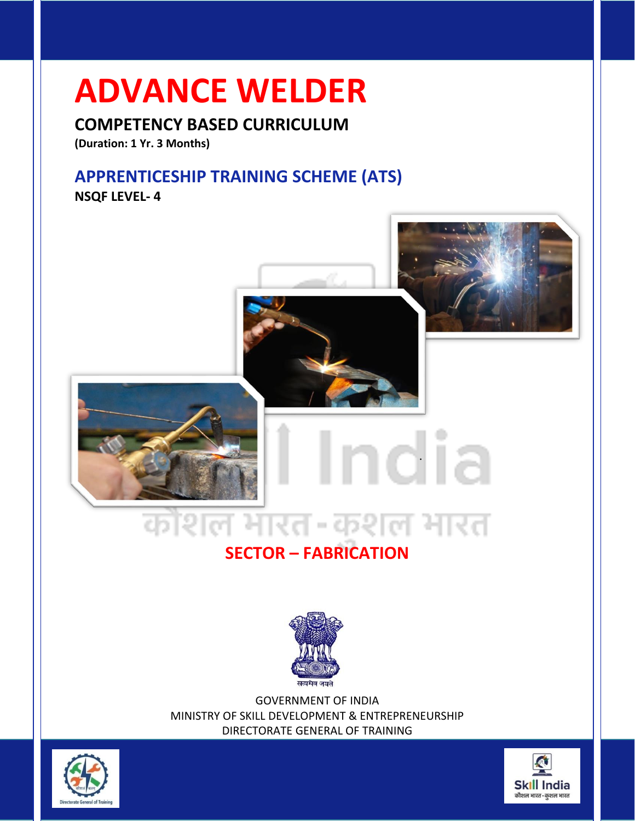### **ADVANCE WELDER**

#### **COMPETENCY BASED CURRICULUM**

**(Duration: 1 Yr. 3 Months)**

#### **APPRENTICESHIP TRAINING SCHEME (ATS)**

**NSQF LEVEL- 4**





### कोशल भारत-कशल भारत

India

### **SECTOR – FABRICATION**



GOVERNMENT OF INDIA MINISTRY OF SKILL DEVELOPMENT & ENTREPRENEURSHIP DIRECTORATE GENERAL OF TRAINING



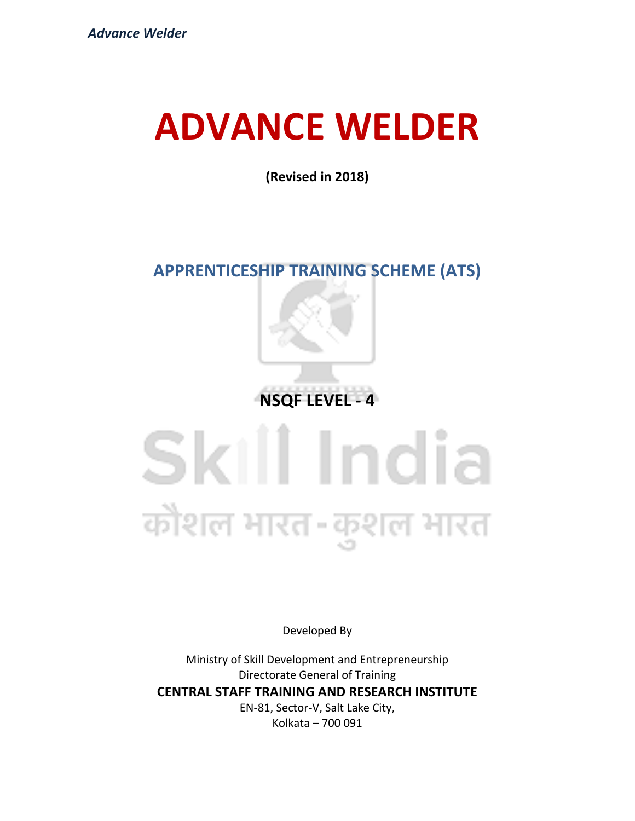### **ADVANCE WELDER**

**(Revised in 2018)**

**APPRENTICESHIP TRAINING SCHEME (ATS)**

**NSQF LEVEL - 4**

## Skill India कोशल भारत-कुशल भारत

Developed By

Ministry of Skill Development and Entrepreneurship Directorate General of Training **CENTRAL STAFF TRAINING AND RESEARCH INSTITUTE**

EN-81, Sector-V, Salt Lake City, Kolkata – 700 091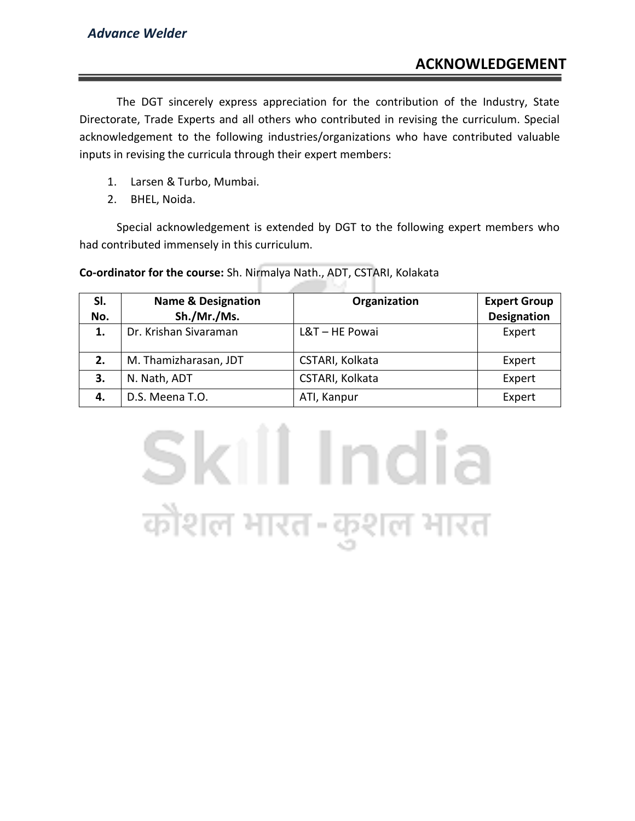The DGT sincerely express appreciation for the contribution of the Industry, State Directorate, Trade Experts and all others who contributed in revising the curriculum. Special acknowledgement to the following industries/organizations who have contributed valuable inputs in revising the curricula through their expert members:

- 1. Larsen & Turbo, Mumbai.
- 2. BHEL, Noida.

Special acknowledgement is extended by DGT to the following expert members who had contributed immensely in this curriculum.

**Co-ordinator for the course:** Sh. Nirmalya Nath., ADT, CSTARI, Kolakata

| SI. | <b>Name &amp; Designation</b> | Organization    | <b>Expert Group</b> |
|-----|-------------------------------|-----------------|---------------------|
| No. | Sh./Mr./Ms.                   |                 | <b>Designation</b>  |
| 1.  | Dr. Krishan Sivaraman         | L&T-HE Powai    | Expert              |
| 2.  | M. Thamizharasan, JDT         | CSTARI, Kolkata | Expert              |
| 3.  | N. Nath, ADT                  | CSTARI, Kolkata | Expert              |
| 4.  | D.S. Meena T.O.               | ATI, Kanpur     | Expert              |

Skill India

कौशल भारत-कुशल भारत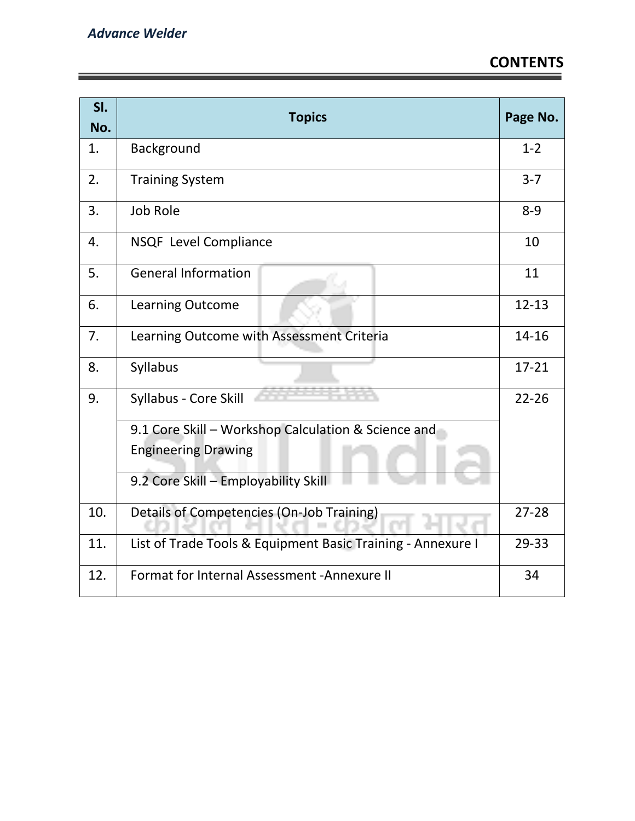<u> 1989 - Johann Stein, marwolaethau a bhannaich an t-Amhair an t-Amhair an t-Amhair an t-Amhair an t-Amhair an</u>

| SI.<br>No. | <b>Topics</b>                                               | Page No.  |
|------------|-------------------------------------------------------------|-----------|
| 1.         | Background                                                  | $1 - 2$   |
| 2.         | <b>Training System</b>                                      | $3 - 7$   |
| 3.         | <b>Job Role</b>                                             | $8 - 9$   |
| 4.         | NSQF Level Compliance                                       | 10        |
| 5.         | <b>General Information</b>                                  | 11        |
| 6.         | Learning Outcome                                            | $12 - 13$ |
| 7.         | Learning Outcome with Assessment Criteria                   | 14-16     |
| 8.         | Syllabus                                                    | $17 - 21$ |
| 9.         | Syllabus - Core Skill                                       | $22 - 26$ |
|            | 9.1 Core Skill - Workshop Calculation & Science and         |           |
|            | <b>Engineering Drawing</b>                                  |           |
|            | 9.2 Core Skill - Employability Skill                        |           |
| 10.        | Details of Competencies (On-Job Training)                   |           |
| 11.        | List of Trade Tools & Equipment Basic Training - Annexure I | 29-33     |
| 12.        | Format for Internal Assessment - Annexure II                | 34        |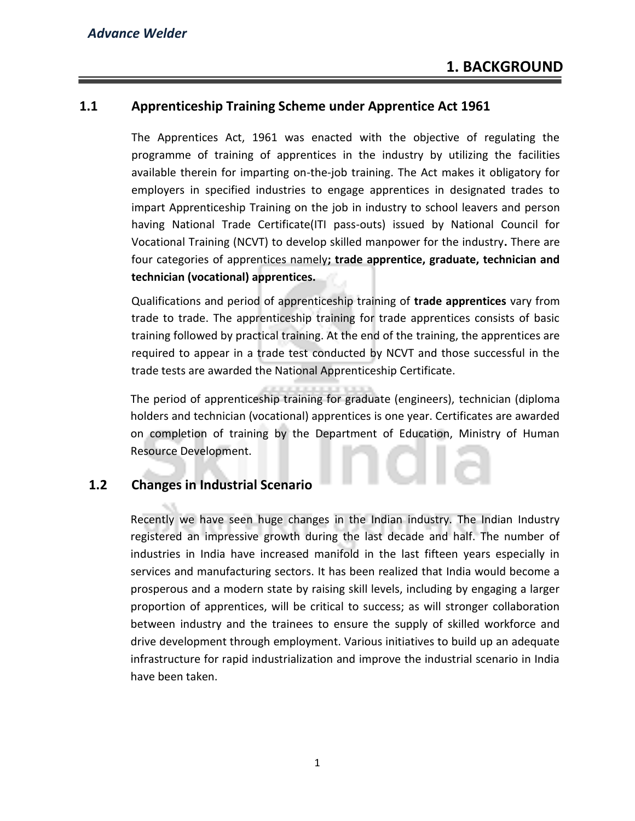#### **1.1 Apprenticeship Training Scheme under Apprentice Act 1961**

The Apprentices Act, 1961 was enacted with the objective of regulating the programme of training of apprentices in the industry by utilizing the facilities available therein for imparting on-the-job training. The Act makes it obligatory for employers in specified industries to engage apprentices in designated trades to impart Apprenticeship Training on the job in industry to school leavers and person having National Trade Certificate(ITI pass-outs) issued by National Council for Vocational Training (NCVT) to develop skilled manpower for the industry**.** There are four categories of apprentices namely**; trade apprentice, graduate, technician and technician (vocational) apprentices.** 

Qualifications and period of apprenticeship training of **trade apprentices** vary from trade to trade. The apprenticeship training for trade apprentices consists of basic training followed by practical training. At the end of the training, the apprentices are required to appear in a trade test conducted by NCVT and those successful in the trade tests are awarded the National Apprenticeship Certificate.

The period of apprenticeship training for graduate (engineers), technician (diploma holders and technician (vocational) apprentices is one year. Certificates are awarded on completion of training by the Department of Education, Ministry of Human Resource Development.

#### **1.2 Changes in Industrial Scenario**

Recently we have seen huge changes in the Indian industry. The Indian Industry registered an impressive growth during the last decade and half. The number of industries in India have increased manifold in the last fifteen years especially in services and manufacturing sectors. It has been realized that India would become a prosperous and a modern state by raising skill levels, including by engaging a larger proportion of apprentices, will be critical to success; as will stronger collaboration between industry and the trainees to ensure the supply of skilled workforce and drive development through employment. Various initiatives to build up an adequate infrastructure for rapid industrialization and improve the industrial scenario in India have been taken.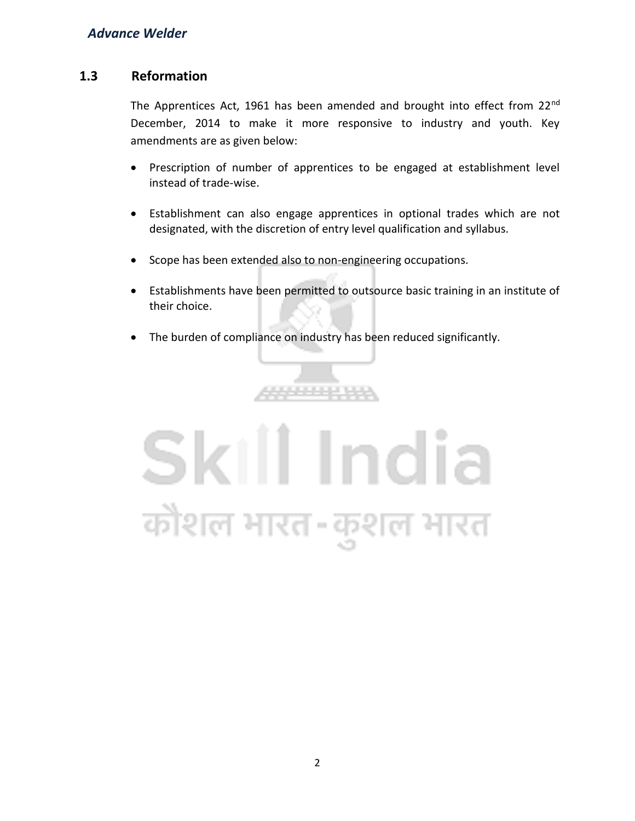#### **1.3 Reformation**

The Apprentices Act, 1961 has been amended and brought into effect from 22<sup>nd</sup> December, 2014 to make it more responsive to industry and youth. Key amendments are as given below:

- Prescription of number of apprentices to be engaged at establishment level instead of trade-wise.
- Establishment can also engage apprentices in optional trades which are not designated, with the discretion of entry level qualification and syllabus.
- Scope has been extended also to non-engineering occupations.
- Establishments have been permitted to outsource basic training in an institute of their choice.
- The burden of compliance on industry has been reduced significantly.

,,,,,,,,,,,,

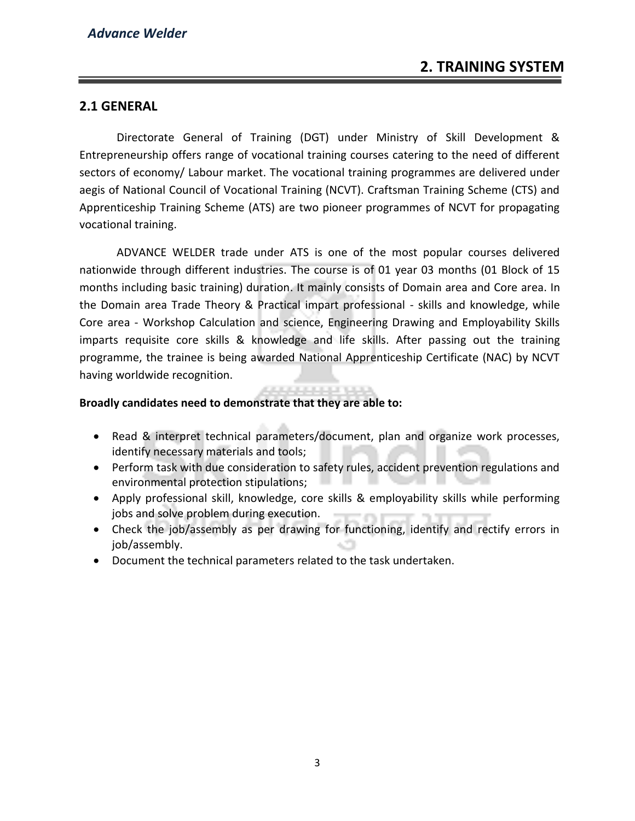#### **2.1 GENERAL**

Directorate General of Training (DGT) under Ministry of Skill Development & Entrepreneurship offers range of vocational training courses catering to the need of different sectors of economy/ Labour market. The vocational training programmes are delivered under aegis of National Council of Vocational Training (NCVT). Craftsman Training Scheme (CTS) and Apprenticeship Training Scheme (ATS) are two pioneer programmes of NCVT for propagating vocational training.

ADVANCE WELDER trade under ATS is one of the most popular courses delivered nationwide through different industries. The course is of 01 year 03 months (01 Block of 15 months including basic training) duration. It mainly consists of Domain area and Core area. In the Domain area Trade Theory & Practical impart professional - skills and knowledge, while Core area - Workshop Calculation and science, Engineering Drawing and Employability Skills imparts requisite core skills & knowledge and life skills. After passing out the training programme, the trainee is being awarded National Apprenticeship Certificate (NAC) by NCVT having worldwide recognition.

#### **Broadly candidates need to demonstrate that they are able to:**

• Read & interpret technical parameters/document, plan and organize work processes, identify necessary materials and tools;

**JOURNAL AND THE REAL** 

- Perform task with due consideration to safety rules, accident prevention regulations and environmental protection stipulations;
- Apply professional skill, knowledge, core skills & employability skills while performing jobs and solve problem during execution.
- Check the job/assembly as per drawing for functioning, identify and rectify errors in job/assembly.
- Document the technical parameters related to the task undertaken.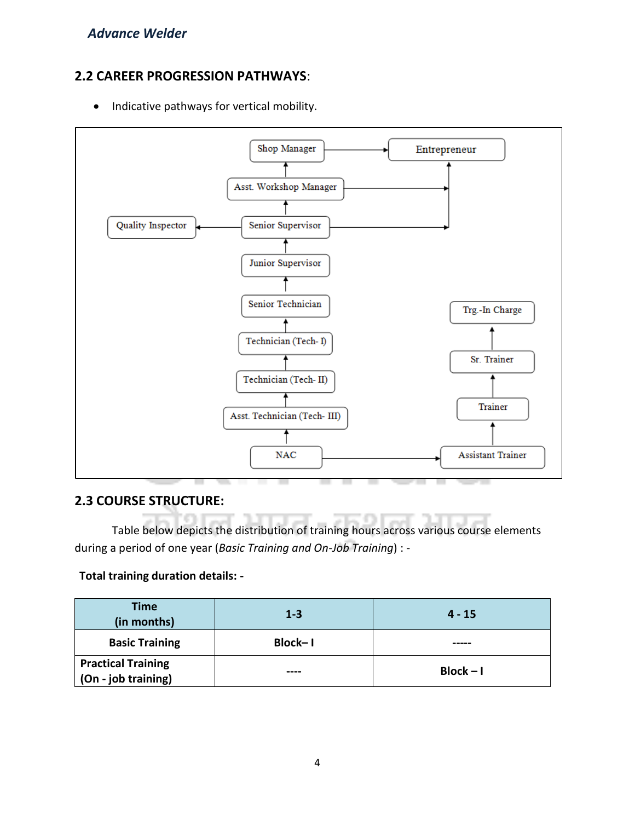#### **2.2 CAREER PROGRESSION PATHWAYS**:

• Indicative pathways for vertical mobility.



#### **2.3 COURSE STRUCTURE:**

Table below depicts the distribution of training hours across various course elements during a period of one year (*Basic Training and On-Job Training*) : -

#### **Total training duration details: -**

| <b>Time</b><br>(in months)                       | $1 - 3$        | $4 - 15$    |  |
|--------------------------------------------------|----------------|-------------|--|
| <b>Basic Training</b>                            | <b>Block-1</b> |             |  |
| <b>Practical Training</b><br>(On - job training) | $- - - -$      | $Block - I$ |  |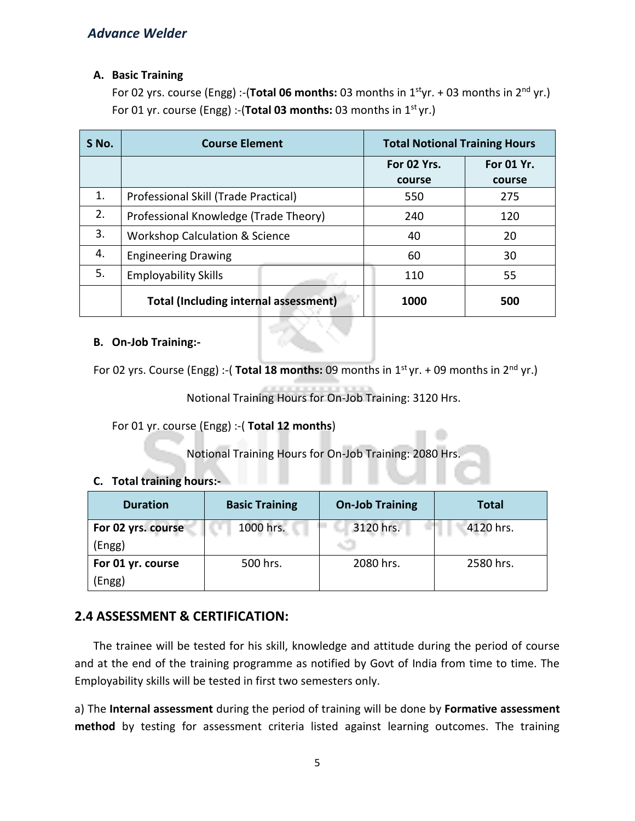#### **A. Basic Training**

For 02 yrs. course (Engg) :-(Total 06 months: 03 months in 1<sup>st</sup>yr. + 03 months in 2<sup>nd</sup> yr.) For 01 yr. course (Engg) :-(**Total 03 months:** 03 months in 1<sup>st</sup> yr.)

| S No. | <b>Course Element</b>                        |  | <b>Total Notional Training Hours</b> |            |
|-------|----------------------------------------------|--|--------------------------------------|------------|
|       |                                              |  | For 02 Yrs.                          | For 01 Yr. |
|       |                                              |  | course                               | course     |
| 1.    | Professional Skill (Trade Practical)         |  | 550                                  | 275        |
| 2.    | Professional Knowledge (Trade Theory)        |  | 240                                  | 120        |
| 3.    | <b>Workshop Calculation &amp; Science</b>    |  | 40                                   | 20         |
| 4.    | <b>Engineering Drawing</b>                   |  | 60                                   | 30         |
| 5.    | <b>Employability Skills</b>                  |  | 110                                  | 55         |
|       | <b>Total (Including internal assessment)</b> |  | 1000                                 | 500        |

#### **B. On-Job Training:-**

For 02 yrs. Course (Engg) :-( Total 18 months: 09 months in 1<sup>st</sup> yr. + 09 months in 2<sup>nd</sup> yr.)

Notional Training Hours for On-Job Training: 3120 Hrs.

For 01 yr. course (Engg) :-( **Total 12 months**)

Notional Training Hours for On-Job Training: 2080 Hrs.

#### **C. Total training hours:-**

| <b>Basic Training</b><br><b>Duration</b> |           | <b>On-Job Training</b> | <b>Total</b> |
|------------------------------------------|-----------|------------------------|--------------|
| For 02 yrs. course                       | 1000 hrs. | 3120 hrs.              | 4120 hrs.    |
| (Engg)                                   |           |                        |              |
| For 01 yr. course                        | 500 hrs.  | 2080 hrs.              | 2580 hrs.    |
| (Engg)                                   |           |                        |              |

#### **2.4 ASSESSMENT & CERTIFICATION:**

The trainee will be tested for his skill, knowledge and attitude during the period of course and at the end of the training programme as notified by Govt of India from time to time. The Employability skills will be tested in first two semesters only.

a) The **Internal assessment** during the period of training will be done by **Formative assessment method** by testing for assessment criteria listed against learning outcomes. The training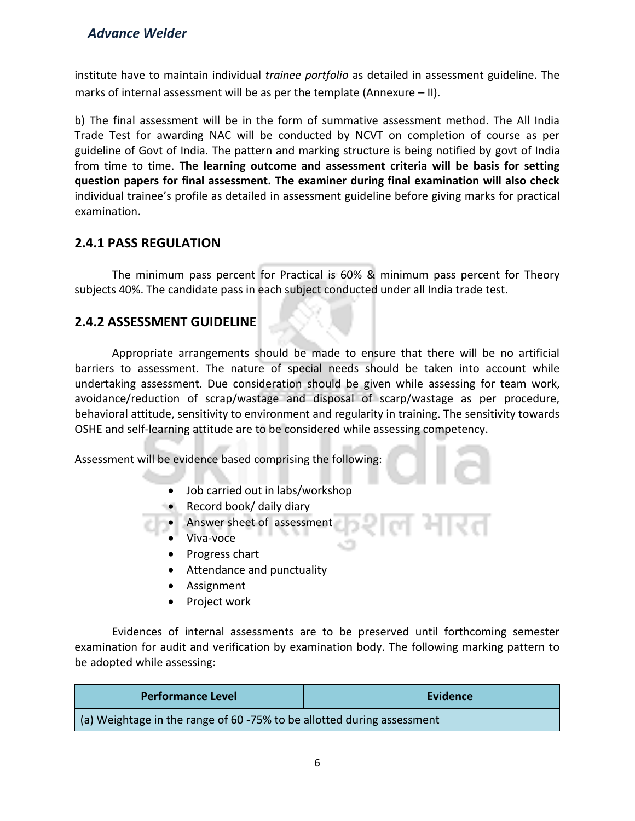institute have to maintain individual *trainee portfolio* as detailed in assessment guideline. The marks of internal assessment will be as per the template (Annexure – II).

b) The final assessment will be in the form of summative assessment method. The All India Trade Test for awarding NAC will be conducted by NCVT on completion of course as per guideline of Govt of India. The pattern and marking structure is being notified by govt of India from time to time. **The learning outcome and assessment criteria will be basis for setting question papers for final assessment. The examiner during final examination will also check**  individual trainee's profile as detailed in assessment guideline before giving marks for practical examination.

#### **2.4.1 PASS REGULATION**

The minimum pass percent for Practical is 60% & minimum pass percent for Theory subjects 40%. The candidate pass in each subject conducted under all India trade test.

#### **2.4.2 ASSESSMENT GUIDELINE**

Appropriate arrangements should be made to ensure that there will be no artificial barriers to assessment. The nature of special needs should be taken into account while undertaking assessment. Due consideration should be given while assessing for team work, avoidance/reduction of scrap/wastage and disposal of scarp/wastage as per procedure, behavioral attitude, sensitivity to environment and regularity in training. The sensitivity towards OSHE and self-learning attitude are to be considered while assessing competency.

Assessment will be evidence based comprising the following:

- Job carried out in labs/workshop
- Record book/ daily diary
- Answer sheet of assessment
	- Viva-voce
	- Progress chart
	- Attendance and punctuality
	- Assignment
	- Project work

Evidences of internal assessments are to be preserved until forthcoming semester examination for audit and verification by examination body. The following marking pattern to be adopted while assessing:

| <b>Performance Level</b>                                               | Evidence |  |
|------------------------------------------------------------------------|----------|--|
| (a) Weightage in the range of 60 -75% to be allotted during assessment |          |  |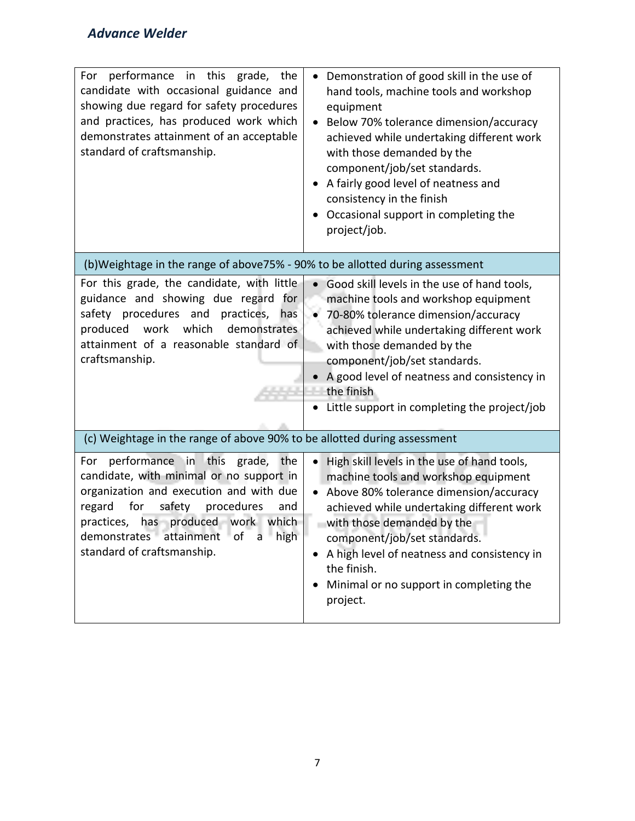| For performance in this grade, the<br>candidate with occasional guidance and<br>showing due regard for safety procedures<br>and practices, has produced work which<br>demonstrates attainment of an acceptable<br>standard of craftsmanship.                                                                     | Demonstration of good skill in the use of<br>hand tools, machine tools and workshop<br>equipment<br>Below 70% tolerance dimension/accuracy<br>achieved while undertaking different work<br>with those demanded by the<br>component/job/set standards.<br>A fairly good level of neatness and<br>consistency in the finish<br>Occasional support in completing the<br>project/job.                    |
|------------------------------------------------------------------------------------------------------------------------------------------------------------------------------------------------------------------------------------------------------------------------------------------------------------------|------------------------------------------------------------------------------------------------------------------------------------------------------------------------------------------------------------------------------------------------------------------------------------------------------------------------------------------------------------------------------------------------------|
| (b) Weightage in the range of above 75% - 90% to be allotted during assessment                                                                                                                                                                                                                                   |                                                                                                                                                                                                                                                                                                                                                                                                      |
| For this grade, the candidate, with little<br>guidance and showing due regard for<br>safety procedures and<br>practices,<br>has<br>work<br>which<br>demonstrates<br>produced<br>attainment of a reasonable standard of<br>craftsmanship.                                                                         | Good skill levels in the use of hand tools,<br>machine tools and workshop equipment<br>70-80% tolerance dimension/accuracy<br>achieved while undertaking different work<br>with those demanded by the<br>component/job/set standards.<br>A good level of neatness and consistency in<br>the finish<br>Little support in completing the project/job                                                   |
| (c) Weightage in the range of above 90% to be allotted during assessment                                                                                                                                                                                                                                         |                                                                                                                                                                                                                                                                                                                                                                                                      |
| performance in this<br>grade,<br>the<br>For<br>candidate, with minimal or no support in<br>organization and execution and with due<br>safety<br>regard<br>for<br>procedures<br>and<br>practices, has produced work which<br>high<br>demonstrates attainment<br>≞of<br><sub>a</sub><br>standard of craftsmanship. | High skill levels in the use of hand tools,<br>$\bullet$<br>machine tools and workshop equipment<br>Above 80% tolerance dimension/accuracy<br>$\bullet$<br>achieved while undertaking different work<br>with those demanded by the<br>component/job/set standards.<br>A high level of neatness and consistency in<br>$\bullet$<br>the finish.<br>Minimal or no support in completing the<br>project. |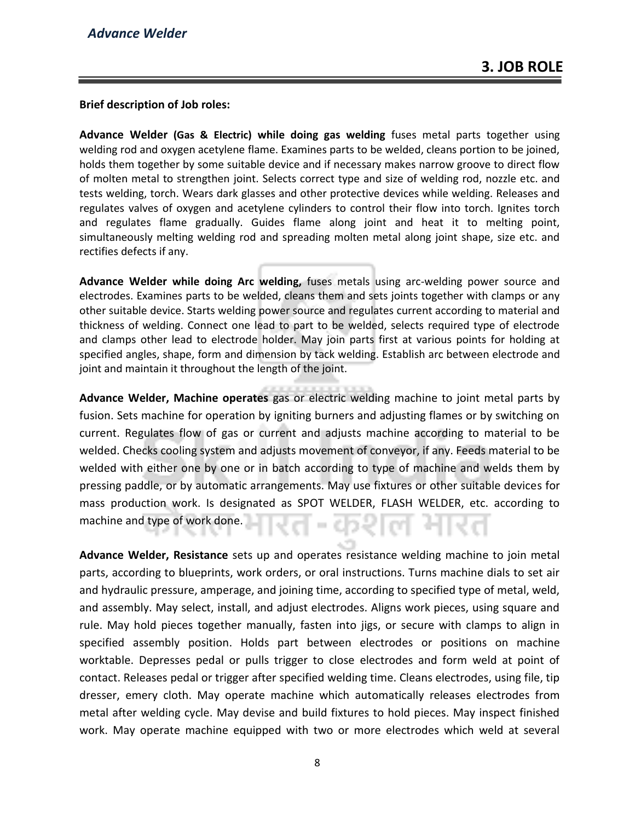#### **Brief description of Job roles:**

**Advance Welder (Gas & Electric) while doing gas welding** fuses metal parts together using welding rod and oxygen acetylene flame. Examines parts to be welded, cleans portion to be joined, holds them together by some suitable device and if necessary makes narrow groove to direct flow of molten metal to strengthen joint. Selects correct type and size of welding rod, nozzle etc. and tests welding, torch. Wears dark glasses and other protective devices while welding. Releases and regulates valves of oxygen and acetylene cylinders to control their flow into torch. Ignites torch and regulates flame gradually. Guides flame along joint and heat it to melting point, simultaneously melting welding rod and spreading molten metal along joint shape, size etc. and rectifies defects if any.

**Advance Welder while doing Arc welding,** fuses metals using arc-welding power source and electrodes. Examines parts to be welded, cleans them and sets joints together with clamps or any other suitable device. Starts welding power source and regulates current according to material and thickness of welding. Connect one lead to part to be welded, selects required type of electrode and clamps other lead to electrode holder. May join parts first at various points for holding at specified angles, shape, form and dimension by tack welding. Establish arc between electrode and joint and maintain it throughout the length of the joint.

**Advance Welder, Machine operates** gas or electric welding machine to joint metal parts by fusion. Sets machine for operation by igniting burners and adjusting flames or by switching on current. Regulates flow of gas or current and adjusts machine according to material to be welded. Checks cooling system and adjusts movement of conveyor, if any. Feeds material to be welded with either one by one or in batch according to type of machine and welds them by pressing paddle, or by automatic arrangements. May use fixtures or other suitable devices for mass production work. Is designated as SPOT WELDER, FLASH WELDER, etc. according to machine and type of work done.

**Advance Welder, Resistance** sets up and operates resistance welding machine to join metal parts, according to blueprints, work orders, or oral instructions. Turns machine dials to set air and hydraulic pressure, amperage, and joining time, according to specified type of metal, weld, and assembly. May select, install, and adjust electrodes. Aligns work pieces, using square and rule. May hold pieces together manually, fasten into jigs, or secure with clamps to align in specified assembly position. Holds part between electrodes or positions on machine worktable. Depresses pedal or pulls trigger to close electrodes and form weld at point of contact. Releases pedal or trigger after specified welding time. Cleans electrodes, using file, tip dresser, emery cloth. May operate machine which automatically releases electrodes from metal after welding cycle. May devise and build fixtures to hold pieces. May inspect finished work. May operate machine equipped with two or more electrodes which weld at several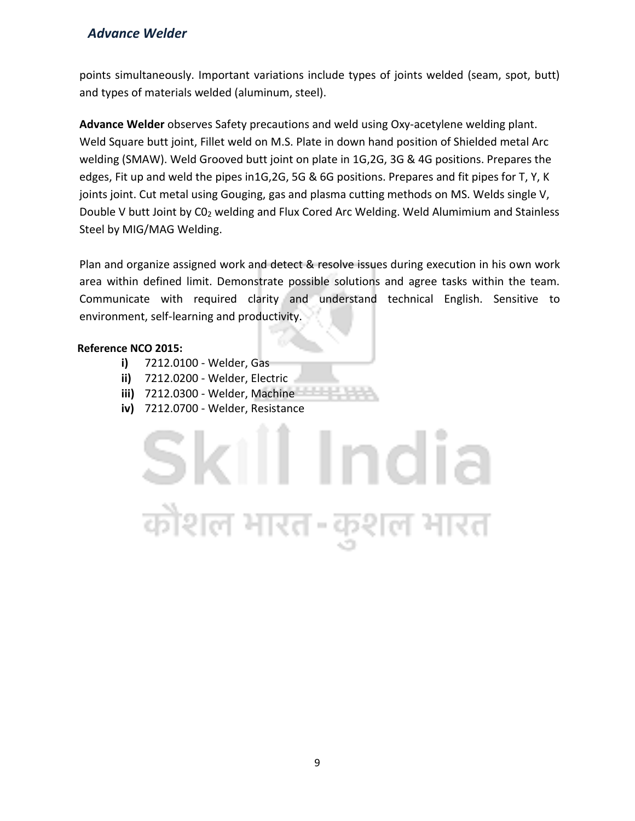points simultaneously. Important variations include types of joints welded (seam, spot, butt) and types of materials welded (aluminum, steel).

**Advance Welder** observes Safety precautions and weld using Oxy-acetylene welding plant. Weld Square butt joint, Fillet weld on M.S. Plate in down hand position of Shielded metal Arc welding (SMAW). Weld Grooved butt joint on plate in 1G,2G, 3G & 4G positions. Prepares the edges, Fit up and weld the pipes in1G,2G, 5G & 6G positions. Prepares and fit pipes for T, Y, K joints joint. Cut metal using Gouging, gas and plasma cutting methods on MS. Welds single V, Double V butt Joint by CO<sub>2</sub> welding and Flux Cored Arc Welding. Weld Alumimium and Stainless Steel by MIG/MAG Welding.

Plan and organize assigned work and detect & resolve issues during execution in his own work area within defined limit. Demonstrate possible solutions and agree tasks within the team. Communicate with required clarity and understand technical English. Sensitive to environment, self-learning and productivity.

#### **Reference NCO 2015:**

- **i)** 7212.0100 Welder, Gas
- **ii)** 7212.0200 Welder, Electric
- **iii)** 7212.0300 Welder, Machine
- **iv)** 7212.0700 Welder, Resistance

## ikill India कोशल भारत-कुशल भारत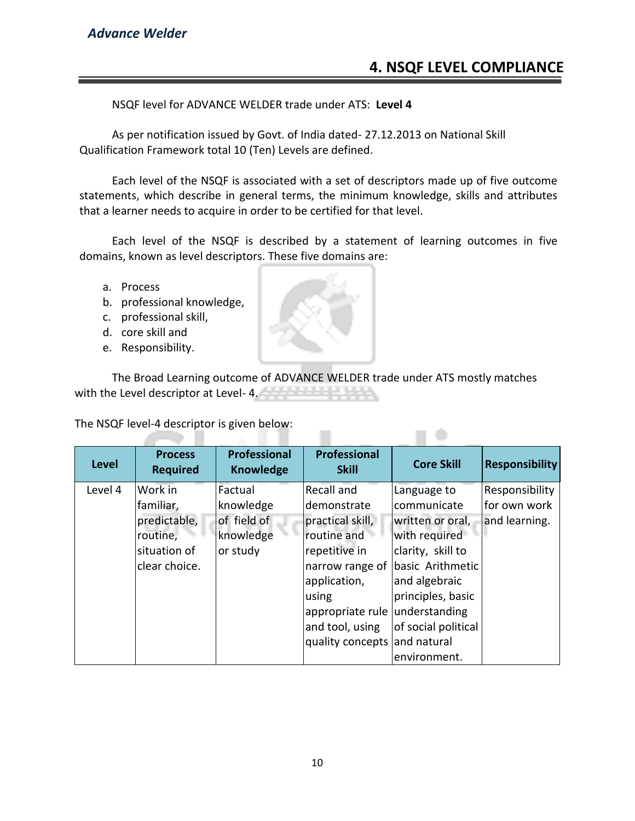NSQF level for ADVANCE WELDER trade under ATS: **Level 4**

As per notification issued by Govt. of India dated- 27.12.2013 on National Skill Qualification Framework total 10 (Ten) Levels are defined.

Each level of the NSQF is associated with a set of descriptors made up of five outcome statements, which describe in general terms, the minimum knowledge, skills and attributes that a learner needs to acquire in order to be certified for that level.

Each level of the NSQF is described by a statement of learning outcomes in five domains, known as level descriptors. These five domains are:

- a. Process
- b. professional knowledge,
- c. professional skill,
- d. core skill and
- e. Responsibility.

The Broad Learning outcome of ADVANCE WELDER trade under ATS mostly matches with the Level descriptor at Level- 4. الموارد والباري

The NSQF level-4 descriptor is given below: m.

| <b>Level</b> | <b>Process</b><br><b>Required</b> | <b>Professional</b><br><b>Knowledge</b> | <b>Professional</b><br><b>Skill</b> | <b>Core Skill</b>   | <b>Responsibility</b> |
|--------------|-----------------------------------|-----------------------------------------|-------------------------------------|---------------------|-----------------------|
| Level 4      | Work in                           | Factual                                 | Recall and                          | Language to         | Responsibility        |
|              | familiar,                         | knowledge                               | demonstrate                         | communicate         | for own work          |
|              | predictable,                      | of field of                             | practical skill,                    | written or oral,    | and learning.         |
|              | routine,                          | knowledge                               | routine and                         | with required       |                       |
|              | situation of                      | or study                                | repetitive in                       | clarity, skill to   |                       |
|              | clear choice.                     |                                         | narrow range of                     | basic Arithmetic    |                       |
|              |                                   |                                         | application,                        | and algebraic       |                       |
|              |                                   |                                         | using                               | principles, basic   |                       |
|              |                                   |                                         | appropriate rule understanding      |                     |                       |
|              |                                   |                                         | and tool, using                     | of social political |                       |
|              |                                   |                                         | quality concepts and natural        |                     |                       |
|              |                                   |                                         |                                     | environment.        |                       |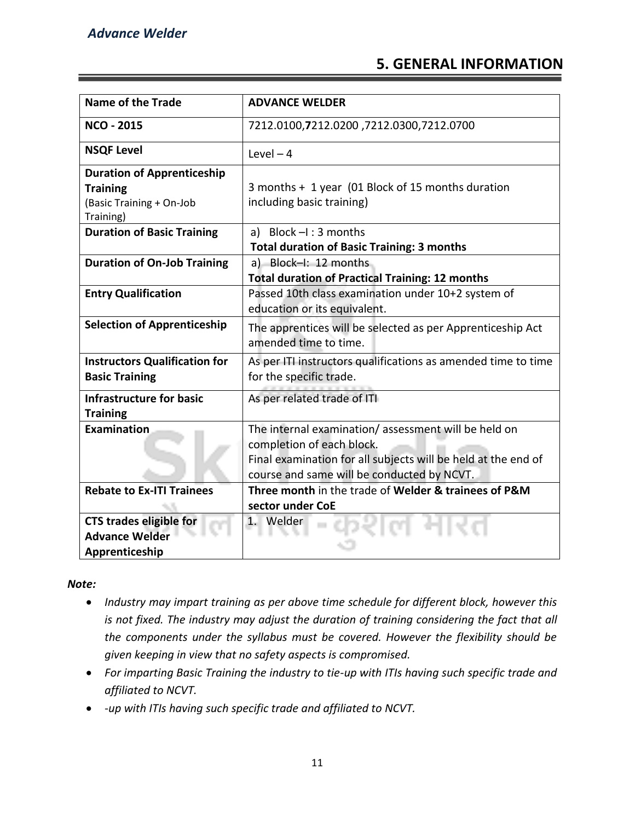#### **5. GENERAL INFORMATION**

| Name of the Trade                                                                             | <b>ADVANCE WELDER</b>                                                                                                                                                                           |  |
|-----------------------------------------------------------------------------------------------|-------------------------------------------------------------------------------------------------------------------------------------------------------------------------------------------------|--|
| <b>NCO - 2015</b>                                                                             | 7212.0100,7212.0200,7212.0300,7212.0700                                                                                                                                                         |  |
| <b>NSQF Level</b>                                                                             | Level $-4$                                                                                                                                                                                      |  |
| <b>Duration of Apprenticeship</b><br><b>Training</b><br>(Basic Training + On-Job<br>Training) | 3 months + 1 year (01 Block of 15 months duration<br>including basic training)                                                                                                                  |  |
| <b>Duration of Basic Training</b>                                                             | a) Block $-I$ : 3 months<br><b>Total duration of Basic Training: 3 months</b>                                                                                                                   |  |
| <b>Duration of On-Job Training</b>                                                            | a) Block-I: 12 months<br><b>Total duration of Practical Training: 12 months</b>                                                                                                                 |  |
| <b>Entry Qualification</b>                                                                    | Passed 10th class examination under 10+2 system of<br>education or its equivalent.                                                                                                              |  |
| <b>Selection of Apprenticeship</b>                                                            | The apprentices will be selected as per Apprenticeship Act<br>amended time to time.                                                                                                             |  |
| <b>Instructors Qualification for</b><br><b>Basic Training</b>                                 | As per ITI instructors qualifications as amended time to time<br>for the specific trade.                                                                                                        |  |
| <b>Infrastructure for basic</b><br><b>Training</b>                                            | As per related trade of ITI                                                                                                                                                                     |  |
| <b>Examination</b>                                                                            | The internal examination/assessment will be held on<br>completion of each block.<br>Final examination for all subjects will be held at the end of<br>course and same will be conducted by NCVT. |  |
| <b>Rebate to Ex-ITI Trainees</b>                                                              | Three month in the trade of Welder & trainees of P&M<br>sector under CoE                                                                                                                        |  |
| <b>CTS trades eligible for</b><br><b>Advance Welder</b><br>Apprenticeship                     | 1. Welder                                                                                                                                                                                       |  |

*Note:*

- *Industry may impart training as per above time schedule for different block, however this is not fixed. The industry may adjust the duration of training considering the fact that all the components under the syllabus must be covered. However the flexibility should be given keeping in view that no safety aspects is compromised.*
- *For imparting Basic Training the industry to tie-up with ITIs having such specific trade and affiliated to NCVT.*
- *-up with ITIs having such specific trade and affiliated to NCVT.*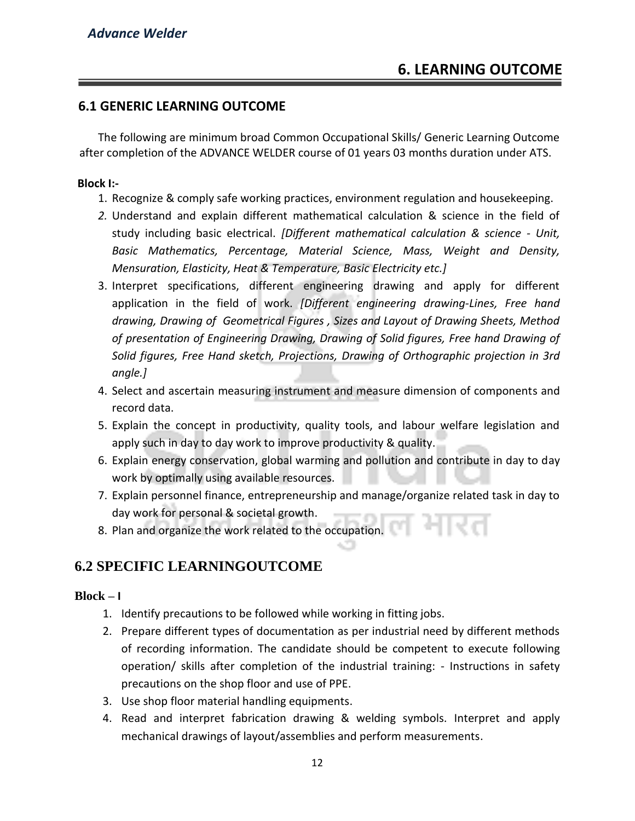#### **6.1 GENERIC LEARNING OUTCOME**

The following are minimum broad Common Occupational Skills/ Generic Learning Outcome after completion of the ADVANCE WELDER course of 01 years 03 months duration under ATS.

#### **Block I:-**

- 1. Recognize & comply safe working practices, environment regulation and housekeeping.
- *2.* Understand and explain different mathematical calculation & science in the field of study including basic electrical. *[Different mathematical calculation & science - Unit, Basic Mathematics, Percentage, Material Science, Mass, Weight and Density, Mensuration, Elasticity, Heat & Temperature, Basic Electricity etc.]*
- 3. Interpret specifications, different engineering drawing and apply for different application in the field of work. *[Different engineering drawing-Lines, Free hand drawing, Drawing of Geometrical Figures , Sizes and Layout of Drawing Sheets, Method of presentation of Engineering Drawing, Drawing of Solid figures, Free hand Drawing of Solid figures, Free Hand sketch, Projections, Drawing of Orthographic projection in 3rd angle.]*
- 4. Select and ascertain measuring instrument and measure dimension of components and record data.
- 5. Explain the concept in productivity, quality tools, and labour welfare legislation and apply such in day to day work to improve productivity & quality.
- 6. Explain energy conservation, global warming and pollution and contribute in day to day work by optimally using available resources.
- 7. Explain personnel finance, entrepreneurship and manage/organize related task in day to day work for personal & societal growth.
- 8. Plan and organize the work related to the occupation.

#### **6.2 SPECIFIC LEARNINGOUTCOME**

#### $Block - I$

- 1. Identify precautions to be followed while working in fitting jobs.
- 2. Prepare different types of documentation as per industrial need by different methods of recording information. The candidate should be competent to execute following operation/ skills after completion of the industrial training: - Instructions in safety precautions on the shop floor and use of PPE.
- 3. Use shop floor material handling equipments.
- 4. Read and interpret fabrication drawing & welding symbols. Interpret and apply mechanical drawings of layout/assemblies and perform measurements.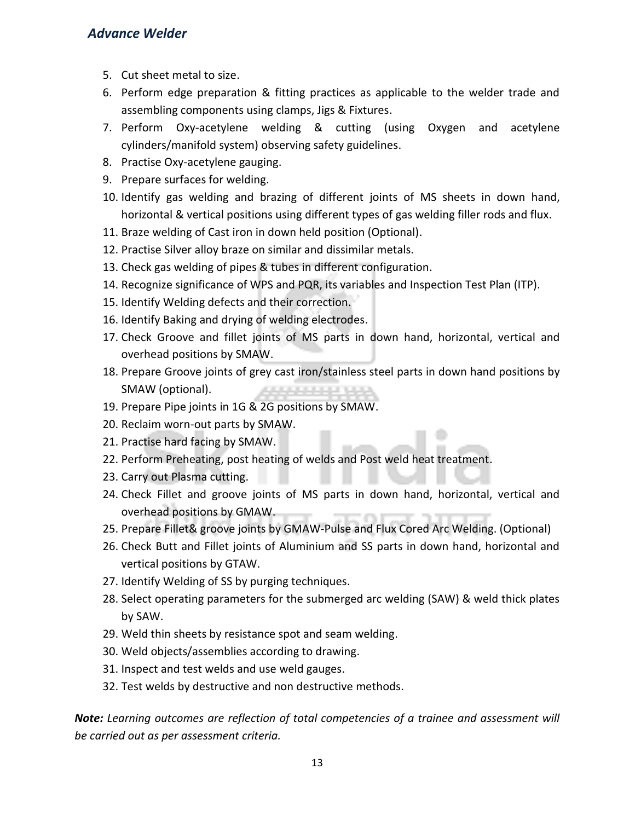- 5. Cut sheet metal to size.
- 6. Perform edge preparation & fitting practices as applicable to the welder trade and assembling components using clamps, Jigs & Fixtures.
- 7. Perform Oxy-acetylene welding & cutting (using Oxygen and acetylene cylinders/manifold system) observing safety guidelines.
- 8. Practise Oxy-acetylene gauging.
- 9. Prepare surfaces for welding.
- 10. Identify gas welding and brazing of different joints of MS sheets in down hand, horizontal & vertical positions using different types of gas welding filler rods and flux.
- 11. Braze welding of Cast iron in down held position (Optional).
- 12. Practise Silver alloy braze on similar and dissimilar metals.
- 13. Check gas welding of pipes & tubes in different configuration.
- 14. Recognize significance of WPS and PQR, its variables and Inspection Test Plan (ITP).
- 15. Identify Welding defects and their correction.
- 16. Identify Baking and drying of welding electrodes.
- 17. Check Groove and fillet joints of MS parts in down hand, horizontal, vertical and overhead positions by SMAW.
- 18. Prepare Groove joints of grey cast iron/stainless steel parts in down hand positions by SMAW (optional). **ARABBUT D**
- 19. Prepare Pipe joints in 1G & 2G positions by SMAW.
- 20. Reclaim worn-out parts by SMAW.
- 21. Practise hard facing by SMAW.
- 22. Perform Preheating, post heating of welds and Post weld heat treatment.
- 23. Carry out Plasma cutting.
- 24. Check Fillet and groove joints of MS parts in down hand, horizontal, vertical and overhead positions by GMAW.
- 25. Prepare Fillet& groove joints by GMAW-Pulse and Flux Cored Arc Welding. (Optional)
- 26. Check Butt and Fillet joints of Aluminium and SS parts in down hand, horizontal and vertical positions by GTAW.
- 27. Identify Welding of SS by purging techniques.
- 28. Select operating parameters for the submerged arc welding (SAW) & weld thick plates by SAW.
- 29. Weld thin sheets by resistance spot and seam welding.
- 30. Weld objects/assemblies according to drawing.
- 31. Inspect and test welds and use weld gauges.
- 32. Test welds by destructive and non destructive methods.

*Note: Learning outcomes are reflection of total competencies of a trainee and assessment will be carried out as per assessment criteria.*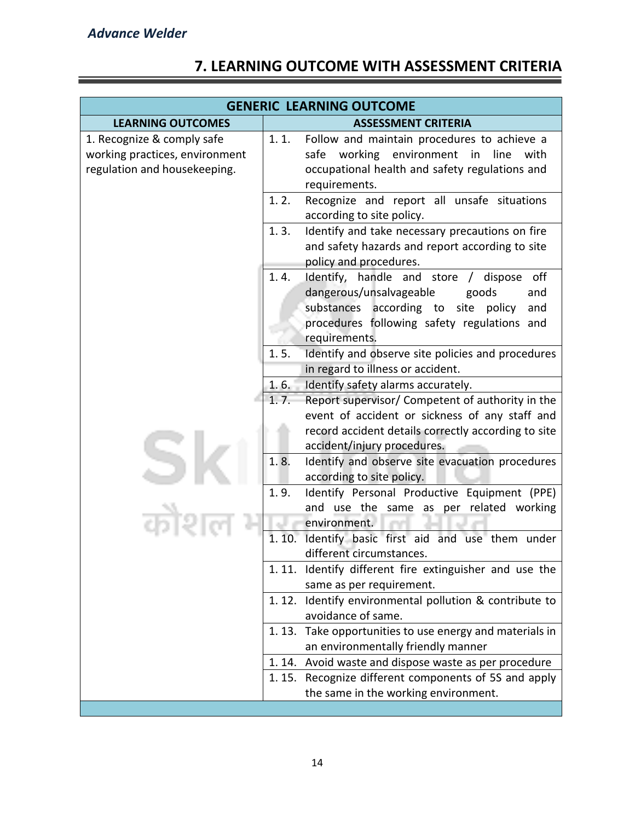#### **GENERIC LEARNING OUTCOME LEARNING OUTCOMES ASSESSMENT CRITERIA** 1. Recognize & comply safe working practices, environment regulation and housekeeping. 1. 1. Follow and maintain procedures to achieve a safe working environment in line with occupational health and safety regulations and requirements. 1. 2. Recognize and report all unsafe situations according to site policy. 1. 3. Identify and take necessary precautions on fire and safety hazards and report according to site policy and procedures. 1. 4. Identify, handle and store / dispose off dangerous/unsalvageable goods and substances according to site policy and procedures following safety regulations and requirements. 1. 5. Identify and observe site policies and procedures in regard to illness or accident. 1. 6. Identify safety alarms accurately. 1. 7. Report supervisor/ Competent of authority in the event of accident or sickness of any staff and record accident details correctly according to site accident/injury procedures. 1. 8. Identify and observe site evacuation procedures according to site policy. 1. 9. Identify Personal Productive Equipment (PPE) and use the same as per related working environment. 1. 10. Identify basic first aid and use them under different circumstances. 1. 11. Identify different fire extinguisher and use the same as per requirement. 1. 12. Identify environmental pollution & contribute to avoidance of same. 1. 13. Take opportunities to use energy and materials in an environmentally friendly manner 1. 14. Avoid waste and dispose waste as per procedure 1. 15. Recognize different components of 5S and apply the same in the working environment.

#### **7. LEARNING OUTCOME WITH ASSESSMENT CRITERIA**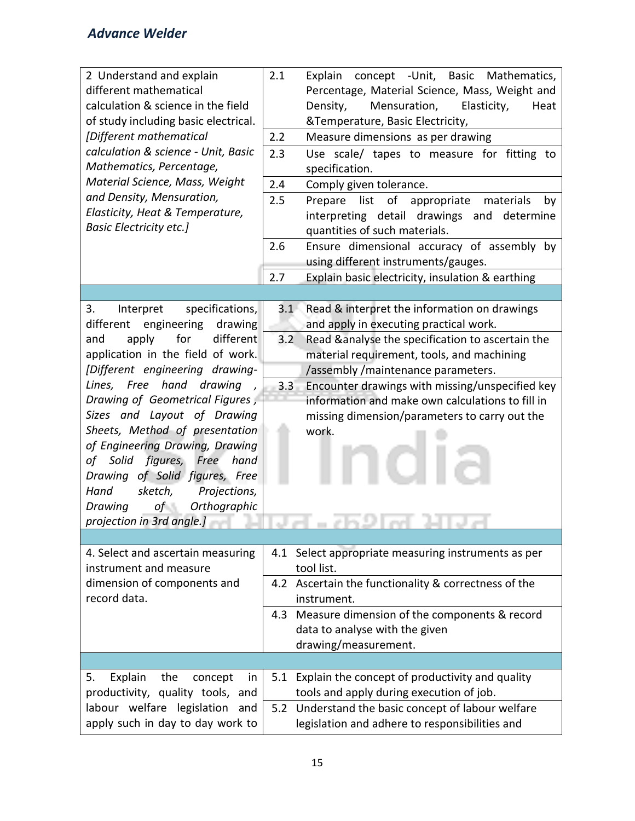| 2 Understand and explain<br>different mathematical<br>calculation & science in the field<br>of study including basic electrical.<br>[Different mathematical<br>calculation & science - Unit, Basic<br>Mathematics, Percentage,<br>Material Science, Mass, Weight<br>and Density, Mensuration,<br>Elasticity, Heat & Temperature,<br><b>Basic Electricity etc.]</b>                                                                                                                                                           | 2.1<br>2.2<br>2.3<br>2.4<br>2.5    | Explain concept - Unit, Basic Mathematics,<br>Percentage, Material Science, Mass, Weight and<br>Mensuration,<br>Elasticity,<br>Density,<br>Heat<br>&Temperature, Basic Electricity,<br>Measure dimensions as per drawing<br>Use scale/ tapes to measure for fitting to<br>specification.<br>Comply given tolerance.<br>Prepare list of appropriate<br>materials<br>by<br>interpreting detail drawings and determine<br>quantities of such materials. |
|------------------------------------------------------------------------------------------------------------------------------------------------------------------------------------------------------------------------------------------------------------------------------------------------------------------------------------------------------------------------------------------------------------------------------------------------------------------------------------------------------------------------------|------------------------------------|------------------------------------------------------------------------------------------------------------------------------------------------------------------------------------------------------------------------------------------------------------------------------------------------------------------------------------------------------------------------------------------------------------------------------------------------------|
|                                                                                                                                                                                                                                                                                                                                                                                                                                                                                                                              | 2.6                                | Ensure dimensional accuracy of assembly by<br>using different instruments/gauges.                                                                                                                                                                                                                                                                                                                                                                    |
|                                                                                                                                                                                                                                                                                                                                                                                                                                                                                                                              | 2.7                                | Explain basic electricity, insulation & earthing                                                                                                                                                                                                                                                                                                                                                                                                     |
| Interpret<br>specifications,<br>3.<br>different<br>engineering<br>drawing<br>apply<br>for<br>different<br>and<br>application in the field of work.<br>[Different engineering drawing-<br>Lines, Free hand drawing<br>Drawing of Geometrical Figures<br>Sizes and Layout of Drawing<br>Sheets, Method of presentation<br>of Engineering Drawing, Drawing<br>of Solid figures, Free<br>hand<br>Drawing of Solid figures, Free<br>sketch,<br>Projections,<br>Hand<br>of<br>Orthographic<br>Drawing<br>projection in 3rd angle.] | $3.1 -$<br>3.2<br>3.3 <sub>1</sub> | Read & interpret the information on drawings<br>and apply in executing practical work.<br>Read &analyse the specification to ascertain the<br>material requirement, tools, and machining<br>/assembly / maintenance parameters.<br>Encounter drawings with missing/unspecified key<br>information and make own calculations to fill in<br>missing dimension/parameters to carry out the<br>work.                                                     |
| 4. Select and ascertain measuring<br>instrument and measure<br>dimension of components and<br>record data.                                                                                                                                                                                                                                                                                                                                                                                                                   |                                    | 4.1 Select appropriate measuring instruments as per<br>tool list.<br>4.2 Ascertain the functionality & correctness of the<br>instrument.<br>4.3 Measure dimension of the components & record<br>data to analyse with the given<br>drawing/measurement.                                                                                                                                                                                               |
|                                                                                                                                                                                                                                                                                                                                                                                                                                                                                                                              |                                    |                                                                                                                                                                                                                                                                                                                                                                                                                                                      |
| Explain<br>the<br>5.<br>concept<br><i>in</i><br>productivity, quality tools, and<br>labour welfare legislation<br>and<br>apply such in day to day work to                                                                                                                                                                                                                                                                                                                                                                    |                                    | 5.1 Explain the concept of productivity and quality<br>tools and apply during execution of job.<br>5.2 Understand the basic concept of labour welfare<br>legislation and adhere to responsibilities and                                                                                                                                                                                                                                              |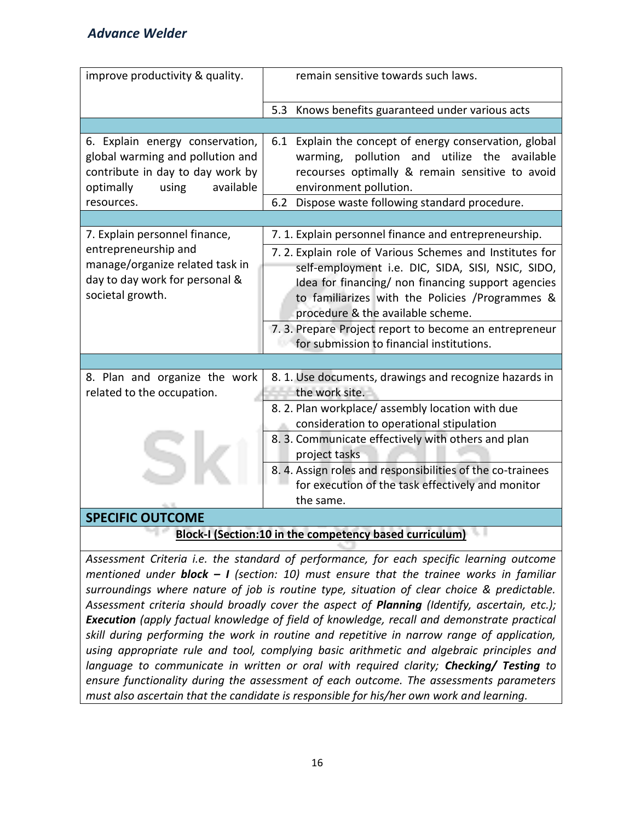| improve productivity & quality.                                                                                                                | remain sensitive towards such laws.                                                                                                                                                                                                                                                                                                                                                                                         |  |  |
|------------------------------------------------------------------------------------------------------------------------------------------------|-----------------------------------------------------------------------------------------------------------------------------------------------------------------------------------------------------------------------------------------------------------------------------------------------------------------------------------------------------------------------------------------------------------------------------|--|--|
|                                                                                                                                                | 5.3<br>Knows benefits guaranteed under various acts                                                                                                                                                                                                                                                                                                                                                                         |  |  |
|                                                                                                                                                |                                                                                                                                                                                                                                                                                                                                                                                                                             |  |  |
| 6. Explain energy conservation,<br>global warming and pollution and<br>contribute in day to day work by<br>available<br>optimally<br>using     | 6.1 Explain the concept of energy conservation, global<br>warming, pollution and utilize the<br>available<br>recourses optimally & remain sensitive to avoid<br>environment pollution.                                                                                                                                                                                                                                      |  |  |
| resources.                                                                                                                                     | Dispose waste following standard procedure.<br>6.2                                                                                                                                                                                                                                                                                                                                                                          |  |  |
|                                                                                                                                                |                                                                                                                                                                                                                                                                                                                                                                                                                             |  |  |
| 7. Explain personnel finance,<br>entrepreneurship and<br>manage/organize related task in<br>day to day work for personal &<br>societal growth. | 7. 1. Explain personnel finance and entrepreneurship.<br>7. 2. Explain role of Various Schemes and Institutes for<br>self-employment i.e. DIC, SIDA, SISI, NSIC, SIDO,<br>Idea for financing/ non financing support agencies<br>to familiarizes with the Policies /Programmes &<br>procedure & the available scheme.<br>7. 3. Prepare Project report to become an entrepreneur<br>for submission to financial institutions. |  |  |
|                                                                                                                                                |                                                                                                                                                                                                                                                                                                                                                                                                                             |  |  |
| 8. Plan and organize the work<br>related to the occupation.                                                                                    | 8. 1. Use documents, drawings and recognize hazards in<br>the work site.                                                                                                                                                                                                                                                                                                                                                    |  |  |
|                                                                                                                                                | 8. 2. Plan workplace/assembly location with due<br>consideration to operational stipulation                                                                                                                                                                                                                                                                                                                                 |  |  |
|                                                                                                                                                | 8. 3. Communicate effectively with others and plan<br>project tasks                                                                                                                                                                                                                                                                                                                                                         |  |  |
|                                                                                                                                                | 8. 4. Assign roles and responsibilities of the co-trainees<br>for execution of the task effectively and monitor<br>the same.                                                                                                                                                                                                                                                                                                |  |  |
|                                                                                                                                                |                                                                                                                                                                                                                                                                                                                                                                                                                             |  |  |
| <b>SPECIFIC OUTCOME</b>                                                                                                                        |                                                                                                                                                                                                                                                                                                                                                                                                                             |  |  |
| Block-I (Section:10 in the competency based curriculum)                                                                                        |                                                                                                                                                                                                                                                                                                                                                                                                                             |  |  |

*Assessment Criteria i.e. the standard of performance, for each specific learning outcome mentioned under block – I (section: 10) must ensure that the trainee works in familiar surroundings where nature of job is routine type, situation of clear choice & predictable. Assessment criteria should broadly cover the aspect of Planning (Identify, ascertain, etc.); Execution (apply factual knowledge of field of knowledge, recall and demonstrate practical skill during performing the work in routine and repetitive in narrow range of application, using appropriate rule and tool, complying basic arithmetic and algebraic principles and language to communicate in written or oral with required clarity; Checking/ Testing to ensure functionality during the assessment of each outcome. The assessments parameters must also ascertain that the candidate is responsible for his/her own work and learning.*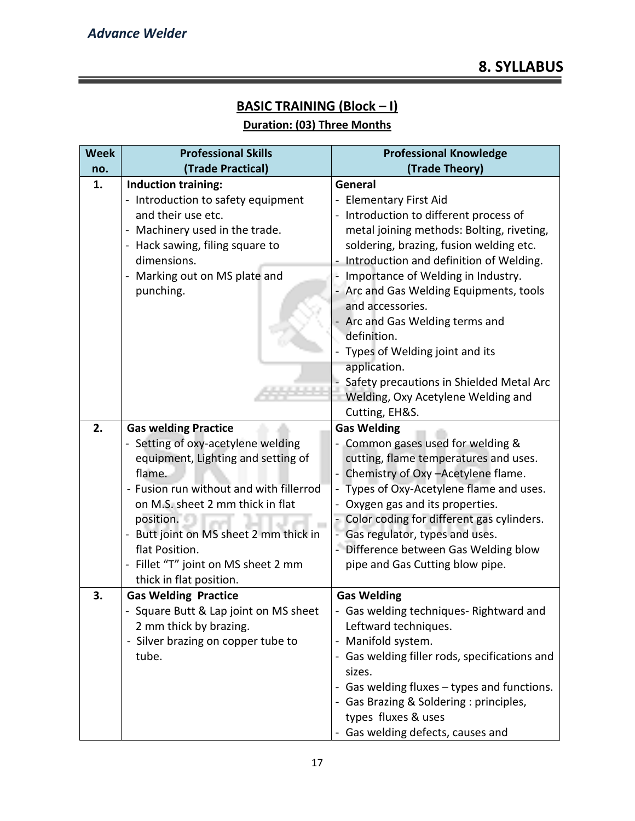#### **BASIC TRAINING (Block – I)**

#### **Duration: (03) Three Months**

| <b>Week</b> | <b>Professional Skills</b>              | <b>Professional Knowledge</b>                 |
|-------------|-----------------------------------------|-----------------------------------------------|
| no.         | (Trade Practical)                       | (Trade Theory)                                |
| 1.          | <b>Induction training:</b>              | General                                       |
|             | - Introduction to safety equipment      | - Elementary First Aid                        |
|             | and their use etc.                      | - Introduction to different process of        |
|             | Machinery used in the trade.            | metal joining methods: Bolting, riveting,     |
|             | - Hack sawing, filing square to         | soldering, brazing, fusion welding etc.       |
|             | dimensions.                             | - Introduction and definition of Welding.     |
|             | Marking out on MS plate and             | Importance of Welding in Industry.            |
|             | punching.                               | - Arc and Gas Welding Equipments, tools       |
|             |                                         | and accessories.                              |
|             |                                         | Arc and Gas Welding terms and                 |
|             |                                         | definition.                                   |
|             |                                         | Types of Welding joint and its                |
|             |                                         | application.                                  |
|             |                                         | Safety precautions in Shielded Metal Arc      |
|             |                                         | Welding, Oxy Acetylene Welding and            |
|             |                                         | Cutting, EH&S.                                |
| 2.          | <b>Gas welding Practice</b>             | <b>Gas Welding</b>                            |
|             | Setting of oxy-acetylene welding        | Common gases used for welding &               |
|             | equipment, Lighting and setting of      | cutting, flame temperatures and uses.         |
|             | flame.                                  | Chemistry of Oxy - Acetylene flame.           |
|             | - Fusion run without and with fillerrod | - Types of Oxy-Acetylene flame and uses.      |
|             | on M.S. sheet 2 mm thick in flat        | - Oxygen gas and its properties.              |
|             | position.                               | - Color coding for different gas cylinders.   |
|             | Butt joint on MS sheet 2 mm thick in    | - Gas regulator, types and uses.              |
|             | flat Position.                          | - Difference between Gas Welding blow         |
|             | - Fillet "T" joint on MS sheet 2 mm     | pipe and Gas Cutting blow pipe.               |
|             | thick in flat position.                 |                                               |
| 3.          | <b>Gas Welding Practice</b>             | <b>Gas Welding</b>                            |
|             | - Square Butt & Lap joint on MS sheet   | - Gas welding techniques- Rightward and       |
|             | 2 mm thick by brazing.                  | Leftward techniques.                          |
|             | - Silver brazing on copper tube to      | - Manifold system.                            |
|             | tube.                                   | - Gas welding filler rods, specifications and |
|             |                                         | sizes.                                        |
|             |                                         | - Gas welding fluxes – types and functions.   |
|             |                                         | - Gas Brazing & Soldering : principles,       |
|             |                                         | types fluxes & uses                           |
|             |                                         | - Gas welding defects, causes and             |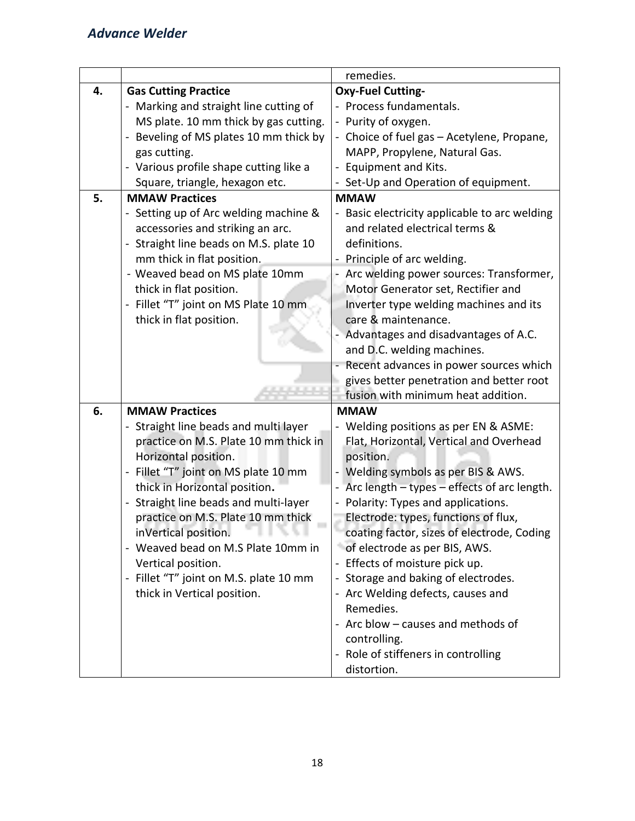|    |                                                                  | remedies.                                     |
|----|------------------------------------------------------------------|-----------------------------------------------|
| 4. | <b>Gas Cutting Practice</b>                                      | <b>Oxy-Fuel Cutting-</b>                      |
|    | - Marking and straight line cutting of                           | - Process fundamentals.                       |
|    | MS plate. 10 mm thick by gas cutting.                            | - Purity of oxygen.                           |
|    | Beveling of MS plates 10 mm thick by<br>$\overline{\phantom{0}}$ | - Choice of fuel gas - Acetylene, Propane,    |
|    | gas cutting.                                                     | MAPP, Propylene, Natural Gas.                 |
|    | - Various profile shape cutting like a                           | - Equipment and Kits.                         |
|    | Square, triangle, hexagon etc.                                   | - Set-Up and Operation of equipment.          |
| 5. | <b>MMAW Practices</b>                                            | <b>MMAW</b>                                   |
|    | - Setting up of Arc welding machine &                            | - Basic electricity applicable to arc welding |
|    | accessories and striking an arc.                                 | and related electrical terms &                |
|    | - Straight line beads on M.S. plate 10                           | definitions.                                  |
|    | mm thick in flat position.                                       | Principle of arc welding.                     |
|    | - Weaved bead on MS plate 10mm                                   | - Arc welding power sources: Transformer,     |
|    | thick in flat position.                                          | Motor Generator set, Rectifier and            |
|    | - Fillet "T" joint on MS Plate 10 mm                             | Inverter type welding machines and its        |
|    | thick in flat position.                                          | care & maintenance.                           |
|    |                                                                  | Advantages and disadvantages of A.C.          |
|    |                                                                  | and D.C. welding machines.                    |
|    |                                                                  | Recent advances in power sources which        |
|    |                                                                  | gives better penetration and better root      |
|    |                                                                  | fusion with minimum heat addition.            |
| 6. | <b>MMAW Practices</b>                                            | <b>MMAW</b>                                   |
|    | - Straight line beads and multi layer                            | - Welding positions as per EN & ASME:         |
|    | practice on M.S. Plate 10 mm thick in                            | Flat, Horizontal, Vertical and Overhead       |
|    | Horizontal position.                                             | position.                                     |
|    | - Fillet "T" joint on MS plate 10 mm                             | Welding symbols as per BIS & AWS.             |
|    | thick in Horizontal position.                                    | Arc length - types - effects of arc length.   |
|    | - Straight line beads and multi-layer                            | - Polarity: Types and applications.           |
|    | practice on M.S. Plate 10 mm thick                               | Electrode: types, functions of flux,          |
|    | inVertical position.<br>76. THE                                  | coating factor, sizes of electrode, Coding    |
|    | - Weaved bead on M.S Plate 10mm in                               | of electrode as per BIS, AWS.                 |
|    | Vertical position.                                               | - Effects of moisture pick up.                |
|    | - Fillet "T" joint on M.S. plate 10 mm                           | - Storage and baking of electrodes.           |
|    | thick in Vertical position.                                      | - Arc Welding defects, causes and             |
|    |                                                                  | Remedies.                                     |
|    |                                                                  | - Arc blow - causes and methods of            |
|    |                                                                  | controlling.                                  |
|    |                                                                  | - Role of stiffeners in controlling           |
|    |                                                                  | distortion.                                   |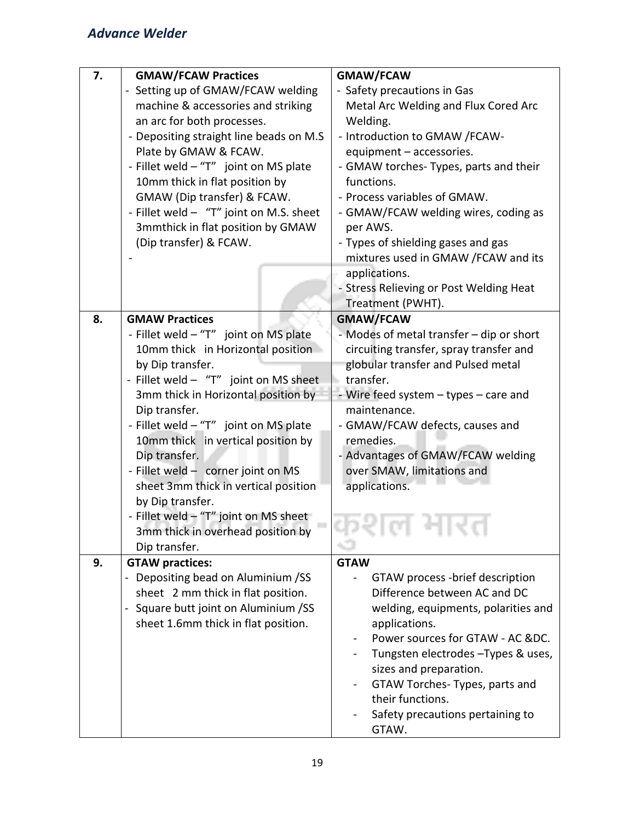| 7. | <b>GMAW/FCAW Practices</b>                            | GMAW/FCAW                                |
|----|-------------------------------------------------------|------------------------------------------|
|    | Setting up of GMAW/FCAW welding                       | - Safety precautions in Gas              |
|    | machine & accessories and striking                    | Metal Arc Welding and Flux Cored Arc     |
|    | an arc for both processes.                            | Welding.                                 |
|    | - Depositing straight line beads on M.S               | - Introduction to GMAW /FCAW-            |
|    | Plate by GMAW & FCAW.                                 | equipment - accessories.                 |
|    | - Fillet weld - "T" joint on MS plate                 | - GMAW torches- Types, parts and their   |
|    | 10mm thick in flat position by                        | functions.                               |
|    | GMAW (Dip transfer) & FCAW.                           | - Process variables of GMAW.             |
|    | - Fillet weld - "T" joint on M.S. sheet               | - GMAW/FCAW welding wires, coding as     |
|    | 3mmthick in flat position by GMAW                     | per AWS.                                 |
|    | (Dip transfer) & FCAW.                                | - Types of shielding gases and gas       |
|    |                                                       | mixtures used in GMAW /FCAW and its      |
|    |                                                       | applications.                            |
|    |                                                       | - Stress Relieving or Post Welding Heat  |
|    |                                                       | Treatment (PWHT).                        |
| 8. | <b>GMAW Practices</b>                                 | <b>GMAW/FCAW</b>                         |
|    | - Fillet weld - "T" joint on MS plate                 | - Modes of metal transfer - dip or short |
|    | 10mm thick in Horizontal position                     | circuiting transfer, spray transfer and  |
|    | by Dip transfer.                                      | globular transfer and Pulsed metal       |
|    | - Fillet weld - "T" joint on MS sheet                 | transfer.                                |
|    | 3mm thick in Horizontal position by                   | Wire feed system $-$ types $-$ care and  |
|    | Dip transfer.                                         | maintenance.                             |
|    | - Fillet weld -"T" joint on MS plate                  | - GMAW/FCAW defects, causes and          |
|    | 10mm thick in vertical position by                    | remedies.                                |
|    | Dip transfer.                                         | Advantages of GMAW/FCAW welding          |
|    | - Fillet weld - corner joint on MS                    | over SMAW, limitations and               |
|    | sheet 3mm thick in vertical position                  | applications.                            |
|    | by Dip transfer.                                      |                                          |
|    | - Fillet weld - "T" joint on MS sheet                 |                                          |
|    | 3mm thick in overhead position by                     |                                          |
|    | Dip transfer.                                         |                                          |
| 9. | <b>GTAW practices:</b>                                | <b>GTAW</b>                              |
|    | Depositing bead on Aluminium /SS                      | GTAW process -brief description          |
|    | sheet 2 mm thick in flat position.                    | Difference between AC and DC             |
|    | Square butt joint on Aluminium / SS<br>$\blacksquare$ | welding, equipments, polarities and      |
|    | sheet 1.6mm thick in flat position.                   | applications.                            |
|    |                                                       | Power sources for GTAW - AC &DC.         |
|    |                                                       | Tungsten electrodes - Types & uses,      |
|    |                                                       | sizes and preparation.                   |
|    |                                                       | GTAW Torches- Types, parts and           |
|    |                                                       | their functions.                         |
|    |                                                       | Safety precautions pertaining to         |
|    |                                                       | GTAW.                                    |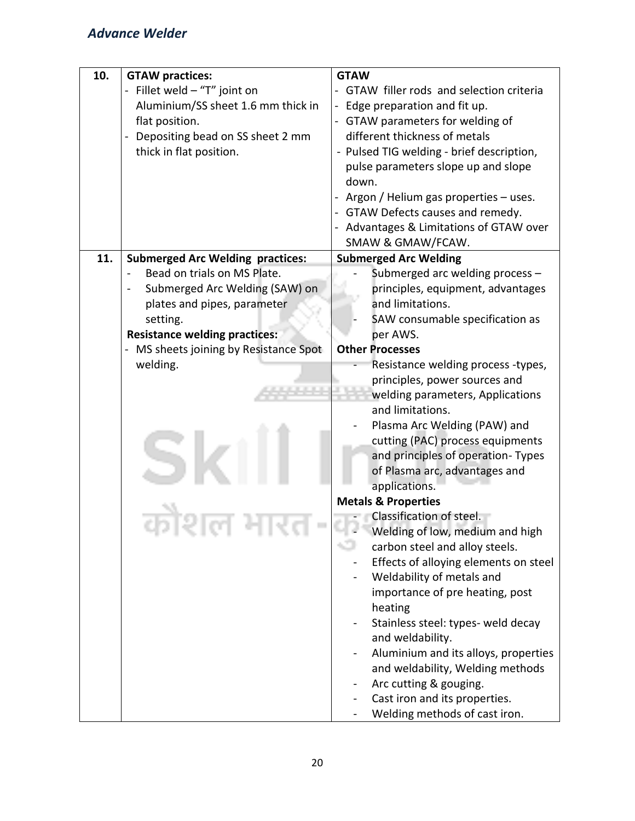| 10. | <b>GTAW practices:</b>                  | <b>GTAW</b>                               |
|-----|-----------------------------------------|-------------------------------------------|
|     | - Fillet weld - "T" joint on            | - GTAW filler rods and selection criteria |
|     | Aluminium/SS sheet 1.6 mm thick in      | - Edge preparation and fit up.            |
|     | flat position.                          | - GTAW parameters for welding of          |
|     | Depositing bead on SS sheet 2 mm        | different thickness of metals             |
|     | thick in flat position.                 | - Pulsed TIG welding - brief description, |
|     |                                         | pulse parameters slope up and slope       |
|     |                                         | down.                                     |
|     |                                         | - Argon / Helium gas properties - uses.   |
|     |                                         | - GTAW Defects causes and remedy.         |
|     |                                         | - Advantages & Limitations of GTAW over   |
|     |                                         | SMAW & GMAW/FCAW.                         |
| 11. | <b>Submerged Arc Welding practices:</b> | <b>Submerged Arc Welding</b>              |
|     | Bead on trials on MS Plate.             | Submerged arc welding process -           |
|     |                                         |                                           |
|     | Submerged Arc Welding (SAW) on          | principles, equipment, advantages         |
|     | plates and pipes, parameter             | and limitations.                          |
|     | setting.                                | SAW consumable specification as           |
|     | <b>Resistance welding practices:</b>    | per AWS.                                  |
|     | - MS sheets joining by Resistance Spot  | <b>Other Processes</b>                    |
|     | welding.                                | Resistance welding process -types,        |
|     |                                         | principles, power sources and             |
|     |                                         | welding parameters, Applications          |
|     |                                         | and limitations.                          |
|     |                                         | Plasma Arc Welding (PAW) and              |
|     |                                         | cutting (PAC) process equipments          |
|     |                                         | and principles of operation-Types         |
|     |                                         | of Plasma arc, advantages and             |
|     |                                         | applications.                             |
|     |                                         | <b>Metals &amp; Properties</b>            |
|     |                                         | Classification of steel.                  |
|     |                                         | Welding of low, medium and high           |
|     |                                         | carbon steel and alloy steels.            |
|     |                                         | Effects of alloying elements on steel     |
|     |                                         | Weldability of metals and                 |
|     |                                         | importance of pre heating, post           |
|     |                                         | heating                                   |
|     |                                         | Stainless steel: types- weld decay        |
|     |                                         | and weldability.                          |
|     |                                         | Aluminium and its alloys, properties      |
|     |                                         | and weldability, Welding methods          |
|     |                                         | Arc cutting & gouging.                    |
|     |                                         | Cast iron and its properties.             |
|     |                                         | Welding methods of cast iron.             |
|     |                                         |                                           |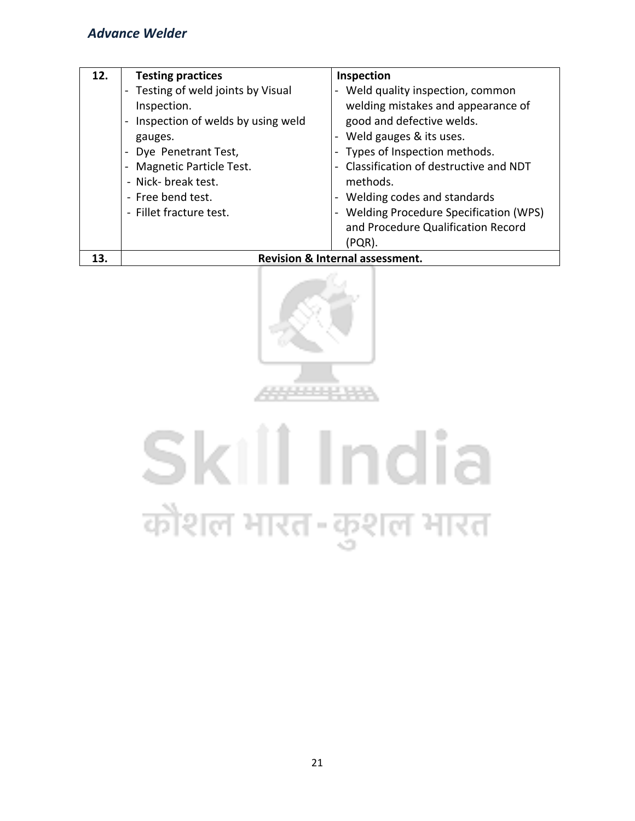| 12. | <b>Testing practices</b>          | Inspection                                 |
|-----|-----------------------------------|--------------------------------------------|
|     | Testing of weld joints by Visual  | - Weld quality inspection, common          |
|     | Inspection.                       | welding mistakes and appearance of         |
|     | Inspection of welds by using weld | good and defective welds.                  |
|     | gauges.                           | - Weld gauges & its uses.                  |
|     | Dye Penetrant Test,               | - Types of Inspection methods.             |
|     | - Magnetic Particle Test.         | - Classification of destructive and NDT    |
|     | - Nick- break test.               | methods.                                   |
|     | - Free bend test.                 | - Welding codes and standards              |
|     | - Fillet fracture test.           | - Welding Procedure Specification (WPS)    |
|     |                                   | and Procedure Qualification Record         |
|     |                                   | (PQR).                                     |
| 13. |                                   | <b>Revision &amp; Internal assessment.</b> |



# Skill India कौशल भारत-कुशल भारत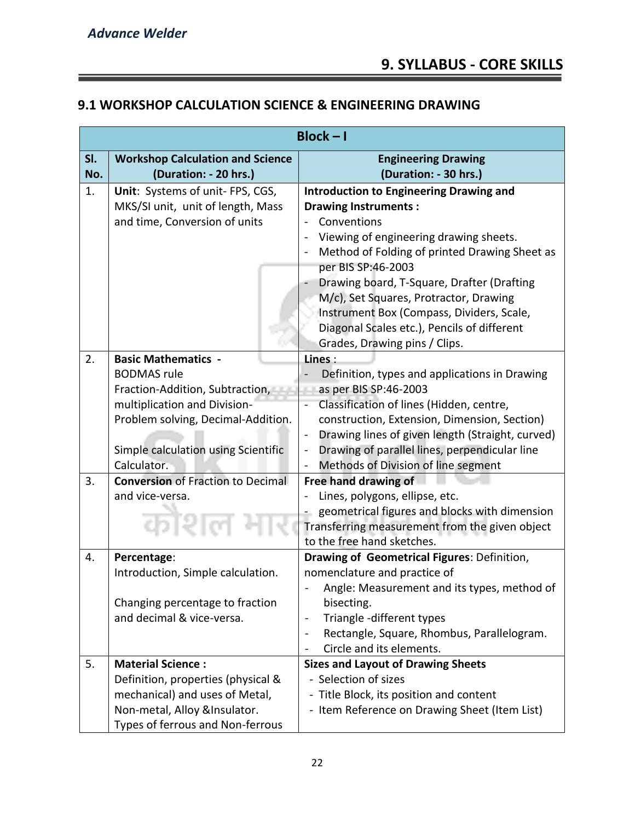═

#### **9.1 WORKSHOP CALCULATION SCIENCE & ENGINEERING DRAWING**

|     | $Block - I$                              |                                                                                                  |  |
|-----|------------------------------------------|--------------------------------------------------------------------------------------------------|--|
| SI. | <b>Workshop Calculation and Science</b>  | <b>Engineering Drawing</b>                                                                       |  |
| No. | (Duration: - 20 hrs.)                    | (Duration: - 30 hrs.)                                                                            |  |
| 1.  | Unit: Systems of unit- FPS, CGS,         | <b>Introduction to Engineering Drawing and</b>                                                   |  |
|     | MKS/SI unit, unit of length, Mass        | <b>Drawing Instruments:</b>                                                                      |  |
|     | and time, Conversion of units            | Conventions                                                                                      |  |
|     |                                          | Viewing of engineering drawing sheets.                                                           |  |
|     |                                          | Method of Folding of printed Drawing Sheet as                                                    |  |
|     |                                          | per BIS SP:46-2003                                                                               |  |
|     |                                          | Drawing board, T-Square, Drafter (Drafting                                                       |  |
|     |                                          | M/c), Set Squares, Protractor, Drawing                                                           |  |
|     |                                          | Instrument Box (Compass, Dividers, Scale,                                                        |  |
|     |                                          | Diagonal Scales etc.), Pencils of different                                                      |  |
|     |                                          | Grades, Drawing pins / Clips.                                                                    |  |
| 2.  | <b>Basic Mathematics -</b>               | Lines:                                                                                           |  |
|     | <b>BODMAS</b> rule                       | Definition, types and applications in Drawing                                                    |  |
|     | Fraction-Addition, Subtraction,          | as per BIS SP:46-2003                                                                            |  |
|     | multiplication and Division-             | Classification of lines (Hidden, centre,                                                         |  |
|     | Problem solving, Decimal-Addition.       | construction, Extension, Dimension, Section)<br>Drawing lines of given length (Straight, curved) |  |
|     | Simple calculation using Scientific      | Drawing of parallel lines, perpendicular line                                                    |  |
|     | Calculator.                              | Methods of Division of line segment                                                              |  |
| 3.  | <b>Conversion of Fraction to Decimal</b> | Free hand drawing of                                                                             |  |
|     | and vice-versa.                          | Lines, polygons, ellipse, etc.                                                                   |  |
|     |                                          | geometrical figures and blocks with dimension                                                    |  |
|     |                                          | Transferring measurement from the given object                                                   |  |
|     |                                          | to the free hand sketches.                                                                       |  |
| 4.  | Percentage:                              | Drawing of Geometrical Figures: Definition,                                                      |  |
|     | Introduction, Simple calculation.        | nomenclature and practice of                                                                     |  |
|     |                                          | Angle: Measurement and its types, method of                                                      |  |
|     | Changing percentage to fraction          | bisecting.                                                                                       |  |
|     | and decimal & vice-versa.                | Triangle -different types                                                                        |  |
|     |                                          | Rectangle, Square, Rhombus, Parallelogram.<br>$\overline{\phantom{a}}$                           |  |
|     |                                          | Circle and its elements.                                                                         |  |
| 5.  | <b>Material Science:</b>                 | <b>Sizes and Layout of Drawing Sheets</b>                                                        |  |
|     | Definition, properties (physical &       | - Selection of sizes                                                                             |  |
|     | mechanical) and uses of Metal,           | - Title Block, its position and content                                                          |  |
|     | Non-metal, Alloy &Insulator.             | - Item Reference on Drawing Sheet (Item List)                                                    |  |
|     | Types of ferrous and Non-ferrous         |                                                                                                  |  |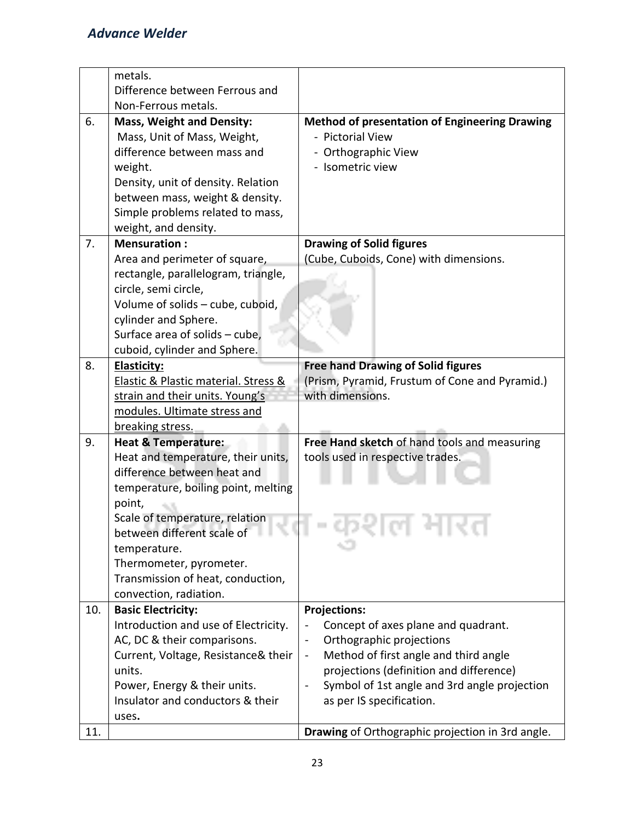|     | metals.                              |                                                         |
|-----|--------------------------------------|---------------------------------------------------------|
|     | Difference between Ferrous and       |                                                         |
|     | Non-Ferrous metals.                  |                                                         |
| 6.  | <b>Mass, Weight and Density:</b>     | <b>Method of presentation of Engineering Drawing</b>    |
|     | Mass, Unit of Mass, Weight,          | - Pictorial View                                        |
|     | difference between mass and          | - Orthographic View                                     |
|     | weight.                              | - Isometric view                                        |
|     | Density, unit of density. Relation   |                                                         |
|     | between mass, weight & density.      |                                                         |
|     | Simple problems related to mass,     |                                                         |
|     | weight, and density.                 |                                                         |
| 7.  | <b>Mensuration:</b>                  | <b>Drawing of Solid figures</b>                         |
|     | Area and perimeter of square,        | (Cube, Cuboids, Cone) with dimensions.                  |
|     | rectangle, parallelogram, triangle,  |                                                         |
|     | circle, semi circle,                 |                                                         |
|     | Volume of solids - cube, cuboid,     |                                                         |
|     | cylinder and Sphere.                 |                                                         |
|     | Surface area of solids - cube,       |                                                         |
|     | cuboid, cylinder and Sphere.         |                                                         |
| 8.  | <b>Elasticity:</b>                   | <b>Free hand Drawing of Solid figures</b>               |
|     | Elastic & Plastic material. Stress & | (Prism, Pyramid, Frustum of Cone and Pyramid.)          |
|     | strain and their units. Young's      | with dimensions.                                        |
|     | modules. Ultimate stress and         |                                                         |
|     | breaking stress.                     |                                                         |
| 9.  | <b>Heat &amp; Temperature:</b>       | Free Hand sketch of hand tools and measuring            |
|     | Heat and temperature, their units,   | tools used in respective trades.                        |
|     | difference between heat and          |                                                         |
|     | temperature, boiling point, melting  |                                                         |
|     | point,                               |                                                         |
|     | Scale of temperature, relation       |                                                         |
|     | between different scale of           |                                                         |
|     | temperature.                         |                                                         |
|     | Thermometer, pyrometer.              |                                                         |
|     | Transmission of heat, conduction,    |                                                         |
|     | convection, radiation.               |                                                         |
| 10. | <b>Basic Electricity:</b>            | <b>Projections:</b>                                     |
|     | Introduction and use of Electricity. | Concept of axes plane and quadrant.                     |
|     | AC, DC & their comparisons.          | Orthographic projections                                |
|     | Current, Voltage, Resistance& their  | Method of first angle and third angle<br>$\blacksquare$ |
|     | units.                               | projections (definition and difference)                 |
|     | Power, Energy & their units.         | Symbol of 1st angle and 3rd angle projection            |
|     | Insulator and conductors & their     | as per IS specification.                                |
|     | uses.                                |                                                         |
| 11. |                                      | Drawing of Orthographic projection in 3rd angle.        |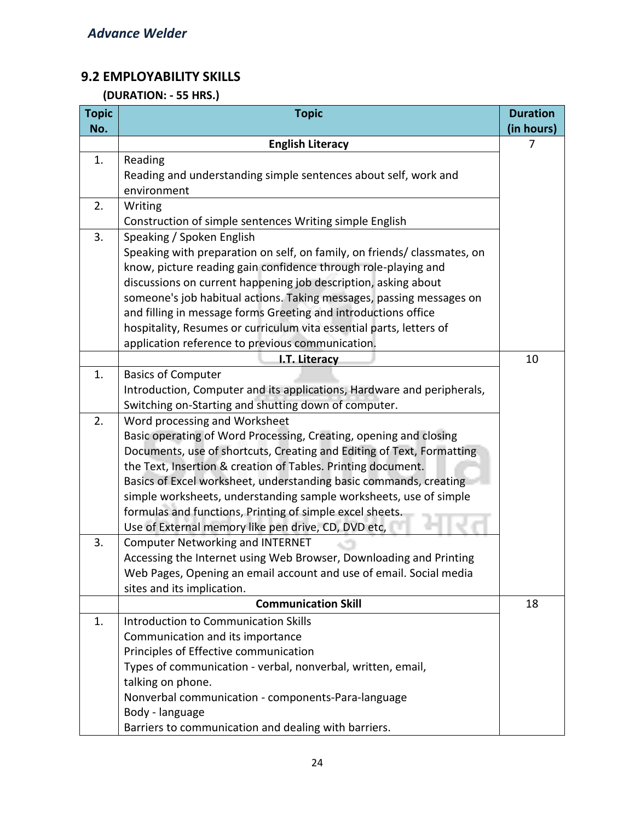#### **9.2 EMPLOYABILITY SKILLS**

#### **(DURATION: - 55 HRS.)**

| <b>Topic</b> | <b>Topic</b>                                                             | <b>Duration</b> |
|--------------|--------------------------------------------------------------------------|-----------------|
| No.          |                                                                          | (in hours)      |
|              | <b>English Literacy</b>                                                  | 7               |
| 1.           | Reading                                                                  |                 |
|              | Reading and understanding simple sentences about self, work and          |                 |
|              | environment                                                              |                 |
| 2.           | Writing                                                                  |                 |
|              | Construction of simple sentences Writing simple English                  |                 |
| 3.           | Speaking / Spoken English                                                |                 |
|              | Speaking with preparation on self, on family, on friends/ classmates, on |                 |
|              | know, picture reading gain confidence through role-playing and           |                 |
|              | discussions on current happening job description, asking about           |                 |
|              | someone's job habitual actions. Taking messages, passing messages on     |                 |
|              | and filling in message forms Greeting and introductions office           |                 |
|              | hospitality, Resumes or curriculum vita essential parts, letters of      |                 |
|              | application reference to previous communication.                         |                 |
|              | I.T. Literacy                                                            | 10              |
| 1.           | <b>Basics of Computer</b>                                                |                 |
|              | Introduction, Computer and its applications, Hardware and peripherals,   |                 |
|              | Switching on-Starting and shutting down of computer.                     |                 |
| 2.           | Word processing and Worksheet                                            |                 |
|              | Basic operating of Word Processing, Creating, opening and closing        |                 |
|              | Documents, use of shortcuts, Creating and Editing of Text, Formatting    |                 |
|              | the Text, Insertion & creation of Tables. Printing document.             |                 |
|              | Basics of Excel worksheet, understanding basic commands, creating        |                 |
|              | simple worksheets, understanding sample worksheets, use of simple        |                 |
|              | formulas and functions, Printing of simple excel sheets.                 |                 |
|              | Use of External memory like pen drive, CD, DVD etc,                      |                 |
| 3.           | <b>Computer Networking and INTERNET</b>                                  |                 |
|              | Accessing the Internet using Web Browser, Downloading and Printing       |                 |
|              | Web Pages, Opening an email account and use of email. Social media       |                 |
|              | sites and its implication.                                               |                 |
|              | <b>Communication Skill</b>                                               | 18              |
| 1.           | <b>Introduction to Communication Skills</b>                              |                 |
|              | Communication and its importance                                         |                 |
|              | Principles of Effective communication                                    |                 |
|              | Types of communication - verbal, nonverbal, written, email,              |                 |
|              | talking on phone.                                                        |                 |
|              | Nonverbal communication - components-Para-language                       |                 |
|              | Body - language                                                          |                 |
|              | Barriers to communication and dealing with barriers.                     |                 |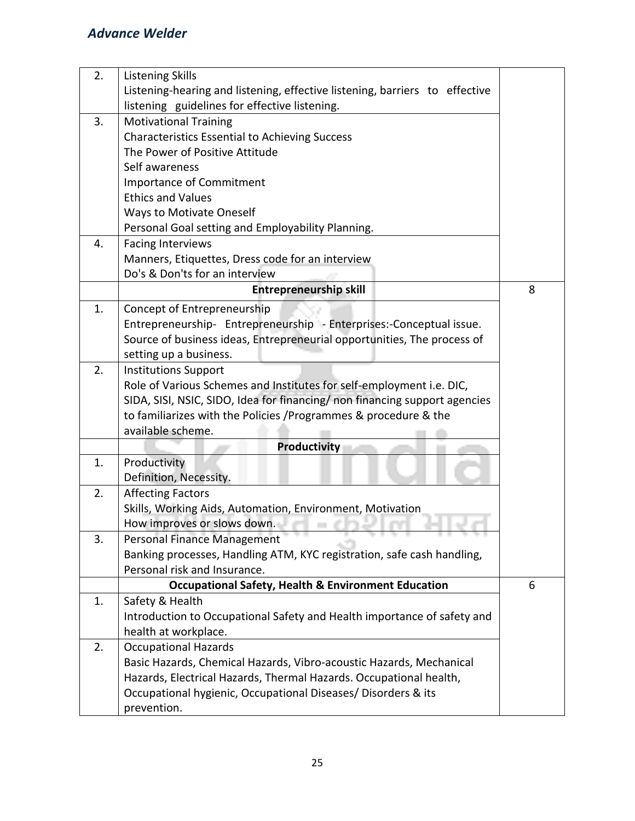| 2. | <b>Listening Skills</b>                                                     |   |
|----|-----------------------------------------------------------------------------|---|
|    | Listening-hearing and listening, effective listening, barriers to effective |   |
|    | listening guidelines for effective listening.                               |   |
| 3. | <b>Motivational Training</b>                                                |   |
|    | <b>Characteristics Essential to Achieving Success</b>                       |   |
|    | The Power of Positive Attitude                                              |   |
|    | Self awareness                                                              |   |
|    | <b>Importance of Commitment</b>                                             |   |
|    | <b>Ethics and Values</b>                                                    |   |
|    | <b>Ways to Motivate Oneself</b>                                             |   |
|    | Personal Goal setting and Employability Planning.                           |   |
| 4. | <b>Facing Interviews</b>                                                    |   |
|    | Manners, Etiquettes, Dress code for an interview                            |   |
|    | Do's & Don'ts for an interview                                              |   |
|    | <b>Entrepreneurship skill</b>                                               | 8 |
| 1. | Concept of Entrepreneurship                                                 |   |
|    | Entrepreneurship- Entrepreneurship - Enterprises:-Conceptual issue.         |   |
|    | Source of business ideas, Entrepreneurial opportunities, The process of     |   |
|    | setting up a business.                                                      |   |
| 2. | <b>Institutions Support</b>                                                 |   |
|    | Role of Various Schemes and Institutes for self-employment i.e. DIC,        |   |
|    | SIDA, SISI, NSIC, SIDO, Idea for financing/ non financing support agencies  |   |
|    | to familiarizes with the Policies / Programmes & procedure & the            |   |
|    | available scheme.                                                           |   |
|    | <b>Productivity</b>                                                         |   |
| 1. | Productivity                                                                |   |
|    | Definition, Necessity.                                                      |   |
| 2. | <b>Affecting Factors</b>                                                    |   |
|    | Skills, Working Aids, Automation, Environment, Motivation                   |   |
|    | How improves or slows down.                                                 |   |
| 3. | Personal Finance Management                                                 |   |
|    | Banking processes, Handling ATM, KYC registration, safe cash handling,      |   |
|    | Personal risk and Insurance.                                                |   |
|    | <b>Occupational Safety, Health &amp; Environment Education</b>              | 6 |
| 1. | Safety & Health                                                             |   |
|    | Introduction to Occupational Safety and Health importance of safety and     |   |
|    | health at workplace.                                                        |   |
| 2. | <b>Occupational Hazards</b>                                                 |   |
|    | Basic Hazards, Chemical Hazards, Vibro-acoustic Hazards, Mechanical         |   |
|    | Hazards, Electrical Hazards, Thermal Hazards. Occupational health,          |   |
|    | Occupational hygienic, Occupational Diseases/ Disorders & its               |   |
|    | prevention.                                                                 |   |
|    |                                                                             |   |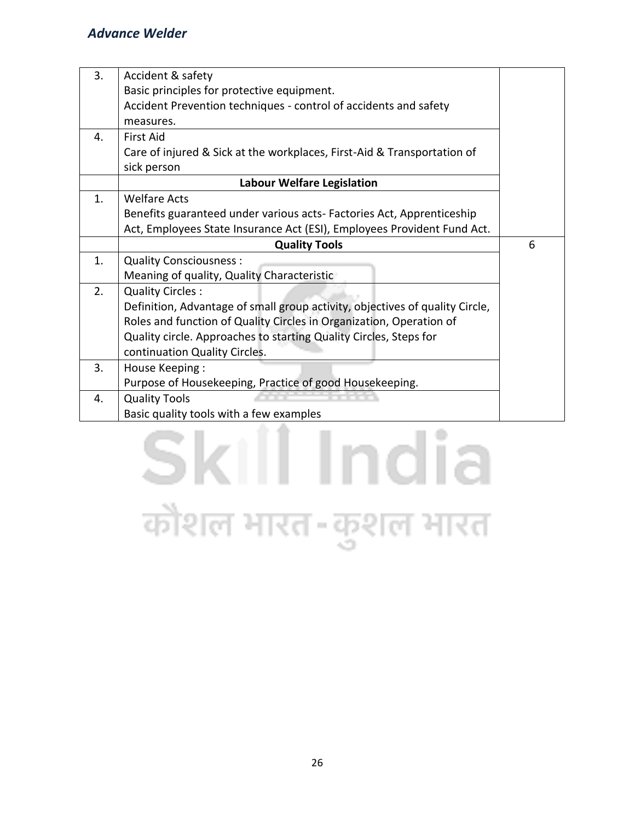| 3. | Accident & safety                                                            |   |
|----|------------------------------------------------------------------------------|---|
|    | Basic principles for protective equipment.                                   |   |
|    | Accident Prevention techniques - control of accidents and safety             |   |
|    | measures.                                                                    |   |
| 4. | <b>First Aid</b>                                                             |   |
|    | Care of injured & Sick at the workplaces, First-Aid & Transportation of      |   |
|    | sick person                                                                  |   |
|    | <b>Labour Welfare Legislation</b>                                            |   |
| 1. | <b>Welfare Acts</b>                                                          |   |
|    | Benefits guaranteed under various acts-Factories Act, Apprenticeship         |   |
|    | Act, Employees State Insurance Act (ESI), Employees Provident Fund Act.      |   |
|    | <b>Quality Tools</b>                                                         | 6 |
| 1. | <b>Quality Consciousness:</b>                                                |   |
|    | Meaning of quality, Quality Characteristic                                   |   |
| 2. | <b>Quality Circles:</b>                                                      |   |
|    | Definition, Advantage of small group activity, objectives of quality Circle, |   |
|    | Roles and function of Quality Circles in Organization, Operation of          |   |
|    | Quality circle. Approaches to starting Quality Circles, Steps for            |   |
|    | continuation Quality Circles.                                                |   |
| 3. | House Keeping:                                                               |   |
|    | Purpose of Housekeeping, Practice of good Housekeeping.                      |   |
| 4. | <b>Quality Tools</b>                                                         |   |
|    | Basic quality tools with a few examples                                      |   |

### Skill India कौशल भारत-कुशल भारत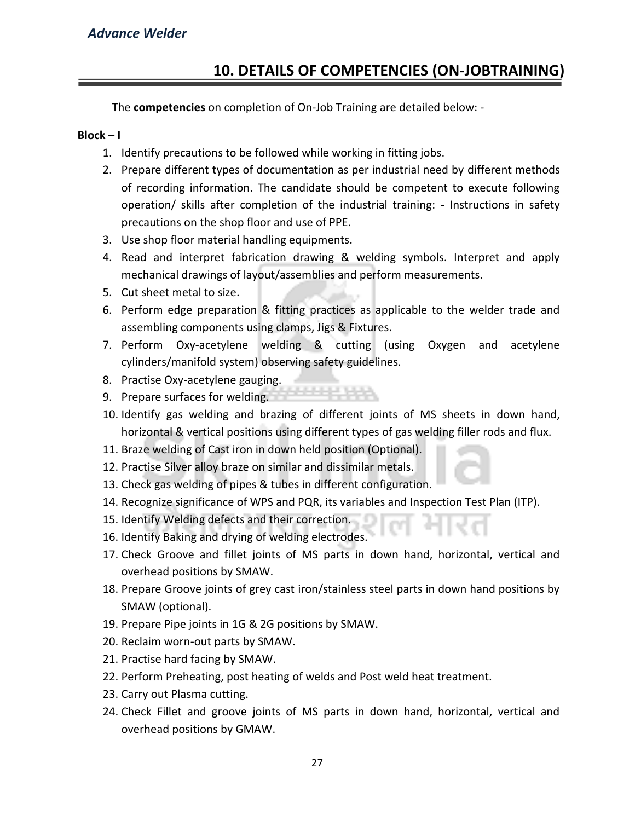#### **10. DETAILS OF COMPETENCIES (ON-JOBTRAINING)**

The **competencies** on completion of On-Job Training are detailed below: -

#### **Block – I**

- 1. Identify precautions to be followed while working in fitting jobs.
- 2. Prepare different types of documentation as per industrial need by different methods of recording information. The candidate should be competent to execute following operation/ skills after completion of the industrial training: - Instructions in safety precautions on the shop floor and use of PPE.
- 3. Use shop floor material handling equipments.
- 4. Read and interpret fabrication drawing & welding symbols. Interpret and apply mechanical drawings of layout/assemblies and perform measurements.
- 5. Cut sheet metal to size.
- 6. Perform edge preparation & fitting practices as applicable to the welder trade and assembling components using clamps, Jigs & Fixtures.
- 7. Perform Oxy-acetylene welding & cutting (using Oxygen and acetylene cylinders/manifold system) observing safety guidelines.
- 8. Practise Oxy-acetylene gauging.
- 9. Prepare surfaces for welding.
- 10. Identify gas welding and brazing of different joints of MS sheets in down hand, horizontal & vertical positions using different types of gas welding filler rods and flux.
- 11. Braze welding of Cast iron in down held position (Optional).
- 12. Practise Silver alloy braze on similar and dissimilar metals.
- 13. Check gas welding of pipes & tubes in different configuration.
- 14. Recognize significance of WPS and PQR, its variables and Inspection Test Plan (ITP).
- 15. Identify Welding defects and their correction.
- 16. Identify Baking and drying of welding electrodes.
- 17. Check Groove and fillet joints of MS parts in down hand, horizontal, vertical and overhead positions by SMAW.
- 18. Prepare Groove joints of grey cast iron/stainless steel parts in down hand positions by SMAW (optional).
- 19. Prepare Pipe joints in 1G & 2G positions by SMAW.
- 20. Reclaim worn-out parts by SMAW.
- 21. Practise hard facing by SMAW.
- 22. Perform Preheating, post heating of welds and Post weld heat treatment.
- 23. Carry out Plasma cutting.
- 24. Check Fillet and groove joints of MS parts in down hand, horizontal, vertical and overhead positions by GMAW.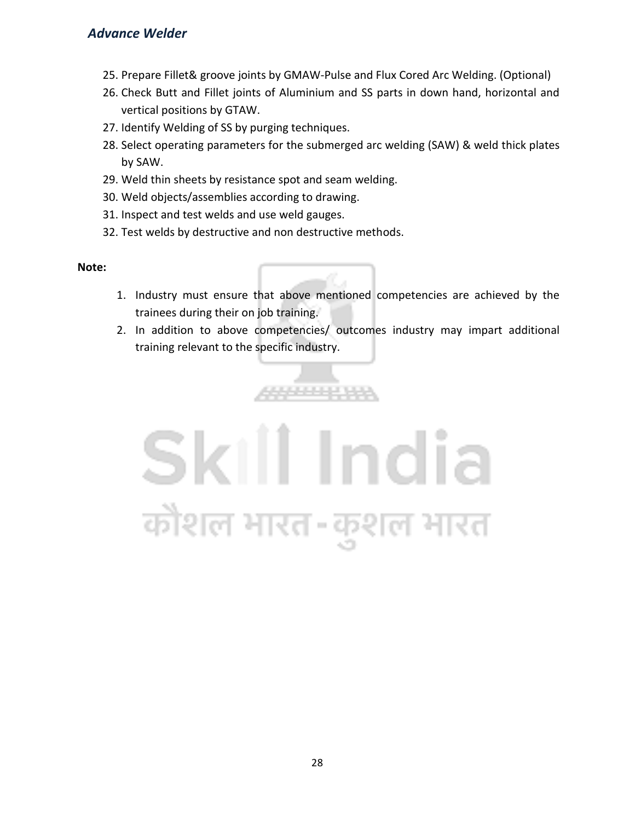- 25. Prepare Fillet& groove joints by GMAW-Pulse and Flux Cored Arc Welding. (Optional)
- 26. Check Butt and Fillet joints of Aluminium and SS parts in down hand, horizontal and vertical positions by GTAW.
- 27. Identify Welding of SS by purging techniques.
- 28. Select operating parameters for the submerged arc welding (SAW) & weld thick plates by SAW.
- 29. Weld thin sheets by resistance spot and seam welding.
- 30. Weld objects/assemblies according to drawing.
- 31. Inspect and test welds and use weld gauges.
- 32. Test welds by destructive and non destructive methods.

#### **Note:**

- 1. Industry must ensure that above mentioned competencies are achieved by the trainees during their on job training.
- 2. In addition to above competencies/ outcomes industry may impart additional training relevant to the specific industry.



<u> 1111111111</u>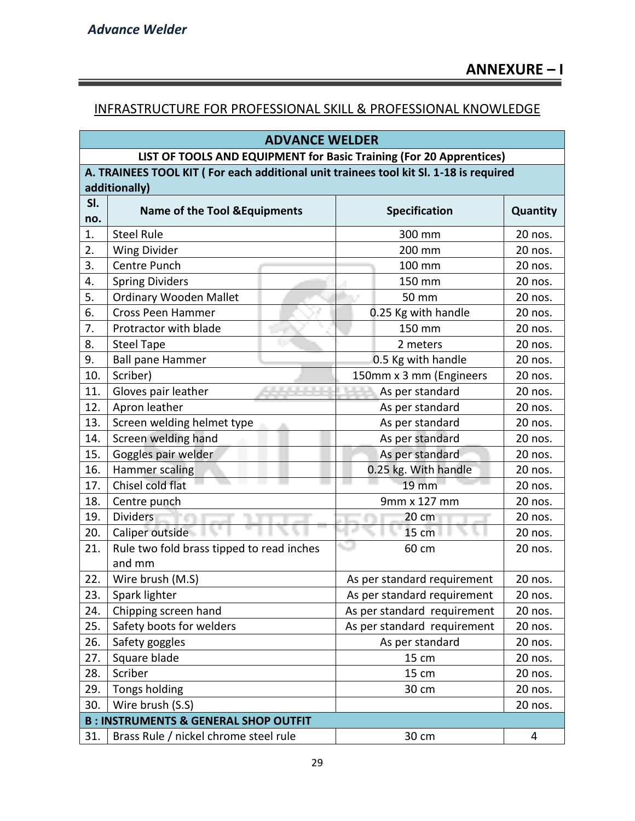#### INFRASTRUCTURE FOR PROFESSIONAL SKILL & PROFESSIONAL KNOWLEDGE

|                                                 | <b>ADVANCE WELDER</b>                                                                 |                             |          |  |
|-------------------------------------------------|---------------------------------------------------------------------------------------|-----------------------------|----------|--|
|                                                 | LIST OF TOOLS AND EQUIPMENT for Basic Training (For 20 Apprentices)                   |                             |          |  |
|                                                 | A. TRAINEES TOOL KIT (For each additional unit trainees tool kit Sl. 1-18 is required |                             |          |  |
|                                                 | additionally)                                                                         |                             |          |  |
| SI.                                             | <b>Name of the Tool &amp; Equipments</b>                                              | <b>Specification</b>        | Quantity |  |
| no.                                             |                                                                                       |                             |          |  |
| 1.                                              | <b>Steel Rule</b>                                                                     | 300 mm                      | 20 nos.  |  |
| 2.                                              | <b>Wing Divider</b>                                                                   | 200 mm                      | 20 nos.  |  |
| 3.                                              | Centre Punch                                                                          | 100 mm                      | 20 nos.  |  |
| 4.                                              | <b>Spring Dividers</b>                                                                | 150 mm                      | 20 nos.  |  |
| 5.                                              | <b>Ordinary Wooden Mallet</b>                                                         | 50 mm                       | 20 nos.  |  |
| 6.                                              | <b>Cross Peen Hammer</b>                                                              | 0.25 Kg with handle         | 20 nos.  |  |
| 7.                                              | Protractor with blade                                                                 | 150 mm                      | 20 nos.  |  |
| 8.                                              | <b>Steel Tape</b>                                                                     | 2 meters                    | 20 nos.  |  |
| 9.                                              | <b>Ball pane Hammer</b>                                                               | 0.5 Kg with handle          | 20 nos.  |  |
| 10.                                             | Scriber)                                                                              | 150mm x 3 mm (Engineers     | 20 nos.  |  |
| 11.                                             | Gloves pair leather                                                                   | 3443<br>As per standard     | 20 nos.  |  |
| 12.                                             | Apron leather                                                                         | As per standard             | 20 nos.  |  |
| 13.                                             | Screen welding helmet type                                                            | As per standard             | 20 nos.  |  |
| 14.                                             | Screen welding hand                                                                   | As per standard             | 20 nos.  |  |
| 15.                                             | Goggles pair welder                                                                   | As per standard             | 20 nos.  |  |
| 16.                                             | Hammer scaling                                                                        | 0.25 kg. With handle        | 20 nos.  |  |
| 17.                                             | Chisel cold flat                                                                      | <b>19 mm</b>                | 20 nos.  |  |
| 18.                                             | Centre punch                                                                          | 9mm x 127 mm                | 20 nos.  |  |
| 19.                                             | <b>Dividers</b>                                                                       | 20 cm                       | 20 nos.  |  |
| 20.                                             | Caliper outside                                                                       | a.<br><b>15 cm</b>          | 20 nos.  |  |
| 21.                                             | Rule two fold brass tipped to read inches                                             | 60 cm                       | 20 nos.  |  |
|                                                 | and mm                                                                                |                             |          |  |
| 22.                                             | Wire brush (M.S)                                                                      | As per standard requirement | 20 nos.  |  |
| 23.                                             | Spark lighter                                                                         | As per standard requirement | 20 nos.  |  |
| 24.                                             | Chipping screen hand                                                                  | As per standard requirement | 20 nos.  |  |
| 25.                                             | Safety boots for welders                                                              | As per standard requirement | 20 nos.  |  |
| 26.                                             | Safety goggles                                                                        | As per standard             | 20 nos.  |  |
| 27.                                             | Square blade                                                                          | 15 cm                       | 20 nos.  |  |
| 28.                                             | Scriber                                                                               | 15 cm                       | 20 nos.  |  |
| 29.                                             | Tongs holding                                                                         | 30 cm                       | 20 nos.  |  |
| 30.                                             | Wire brush (S.S)                                                                      |                             | 20 nos.  |  |
| <b>B: INSTRUMENTS &amp; GENERAL SHOP OUTFIT</b> |                                                                                       |                             |          |  |
| 31.                                             | Brass Rule / nickel chrome steel rule                                                 | 30 cm                       | 4        |  |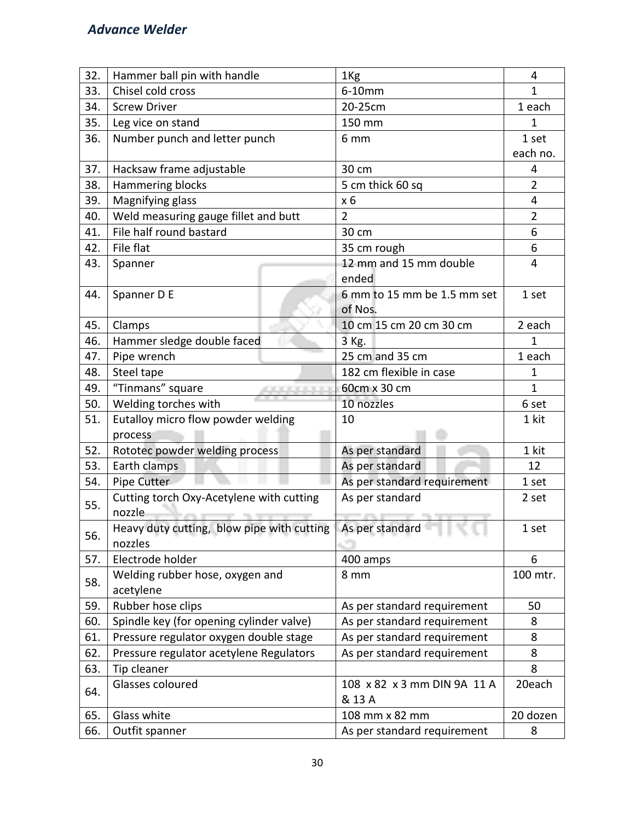| 32. | Hammer ball pin with handle                          | 1 <sub>Kg</sub>             | 4              |
|-----|------------------------------------------------------|-----------------------------|----------------|
| 33. | Chisel cold cross                                    | 6-10mm                      | 1              |
| 34. | <b>Screw Driver</b>                                  | 20-25cm                     | 1 each         |
| 35. | Leg vice on stand                                    | 150 mm                      | 1              |
| 36. | Number punch and letter punch                        | 6 mm                        | 1 set          |
|     |                                                      |                             | each no.       |
| 37. | Hacksaw frame adjustable                             | 30 cm                       | 4              |
| 38. | <b>Hammering blocks</b>                              | 5 cm thick 60 sq            | $\overline{2}$ |
| 39. | Magnifying glass                                     | $x_6$                       | 4              |
| 40. | Weld measuring gauge fillet and butt                 | $\overline{2}$              | $\overline{2}$ |
| 41. | File half round bastard                              | 30 cm                       | 6              |
| 42. | File flat                                            | 35 cm rough                 | 6              |
| 43. | Spanner                                              | 12 mm and 15 mm double      | 4              |
|     |                                                      | ended                       |                |
| 44. | Spanner D E                                          | 6 mm to 15 mm be 1.5 mm set | 1 set          |
|     |                                                      | of Nos.                     |                |
| 45. | Clamps                                               | 10 cm 15 cm 20 cm 30 cm     | 2 each         |
| 46. | Hammer sledge double faced                           | 3 Kg.                       | 1              |
| 47. | Pipe wrench                                          | 25 cm and 35 cm             | 1 each         |
| 48. | Steel tape                                           | 182 cm flexible in case     | 1              |
| 49. | "Tinmans" square                                     | 60cm x 30 cm                | $\mathbf{1}$   |
| 50. | Welding torches with                                 | 10 nozzles                  | 6 set          |
| 51. | Eutalloy micro flow powder welding                   | 10                          | 1 kit          |
|     | process                                              |                             |                |
| 52. | Rototec powder welding process                       | As per standard             | 1 kit          |
| 53. | Earth clamps                                         | As per standard             | 12             |
| 54. | Pipe Cutter                                          | As per standard requirement | 1 set          |
| 55. | Cutting torch Oxy-Acetylene with cutting             | As per standard             | 2 set          |
|     | nozzle<br><b>PARK BELLEVILLE</b><br><b>The State</b> |                             |                |
| 56. | Heavy duty cutting, blow pipe with cutting           | As per standard             | 1 set          |
|     | nozzles                                              |                             |                |
| 57. | Electrode holder                                     | 400 amps                    | 6              |
|     | Welding rubber hose, oxygen and                      | 8 mm                        | 100 mtr.       |
| 58. | acetylene                                            |                             |                |
| 59. | Rubber hose clips                                    | As per standard requirement | 50             |
| 60. | Spindle key (for opening cylinder valve)             | As per standard requirement | 8              |
| 61. | Pressure regulator oxygen double stage               | As per standard requirement | 8              |
| 62. | Pressure regulator acetylene Regulators              | As per standard requirement | 8              |
| 63. | Tip cleaner                                          |                             | 8              |
|     | Glasses coloured                                     | 108 x 82 x 3 mm DIN 9A 11 A | 20each         |
| 64. |                                                      | & 13 A                      |                |
| 65. | Glass white                                          | 108 mm x 82 mm              | 20 dozen       |
| 66. | Outfit spanner                                       | As per standard requirement | 8              |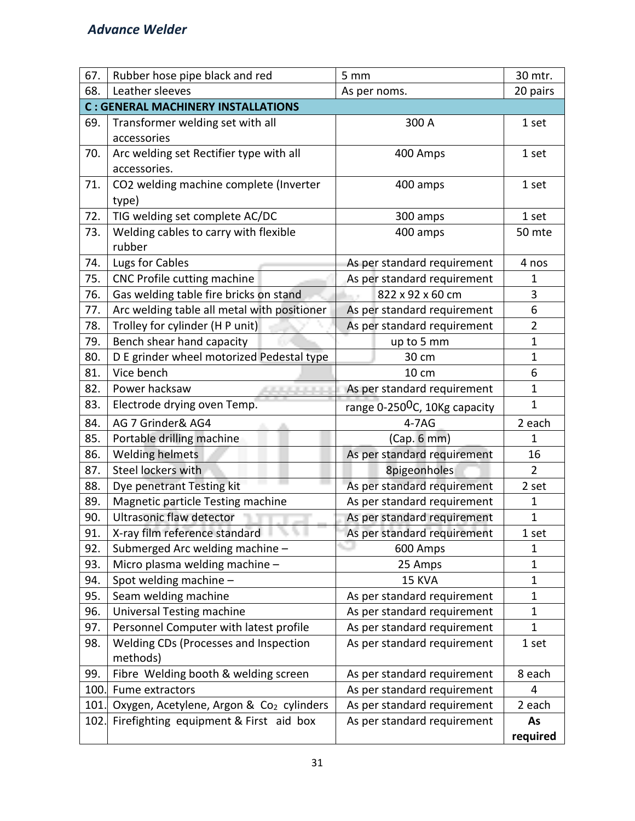| 67.  | Rubber hose pipe black and red                       | 5 mm                                      | 30 mtr.        |
|------|------------------------------------------------------|-------------------------------------------|----------------|
| 68.  | Leather sleeves                                      | As per noms.                              | 20 pairs       |
|      | <b>C: GENERAL MACHINERY INSTALLATIONS</b>            |                                           |                |
| 69.  | Transformer welding set with all                     | 300 A                                     | 1 set          |
|      | accessories                                          |                                           |                |
| 70.  | Arc welding set Rectifier type with all              | 400 Amps                                  | 1 set          |
|      | accessories.                                         |                                           |                |
| 71.  | CO2 welding machine complete (Inverter               | 400 amps                                  | 1 set          |
|      | type)                                                |                                           |                |
| 72.  | TIG welding set complete AC/DC                       | 300 amps                                  | 1 set          |
| 73.  | Welding cables to carry with flexible                | 400 amps                                  | 50 mte         |
|      | rubber                                               |                                           |                |
| 74.  | Lugs for Cables                                      | As per standard requirement               | 4 nos          |
| 75.  | CNC Profile cutting machine                          | As per standard requirement               | $\mathbf 1$    |
| 76.  | Gas welding table fire bricks on stand               | 822 x 92 x 60 cm                          | 3              |
| 77.  | Arc welding table all metal with positioner          | As per standard requirement               | 6              |
| 78.  | Trolley for cylinder (H P unit)                      | As per standard requirement               | $\overline{2}$ |
| 79.  | Bench shear hand capacity                            | up to 5 mm                                | $\mathbf 1$    |
| 80.  | D E grinder wheel motorized Pedestal type            | 30 cm                                     | $\mathbf{1}$   |
| 81.  | Vice bench                                           | 10 cm                                     | 6              |
| 82.  | Power hacksaw                                        | As per standard requirement               | $\mathbf 1$    |
| 83.  | Electrode drying oven Temp.                          | range 0-250 <sup>0</sup> C, 10Kg capacity | $\mathbf{1}$   |
| 84.  | AG 7 Grinder& AG4                                    | $4 - 7AG$                                 | 2 each         |
| 85.  | Portable drilling machine                            | (Cap. 6 mm)                               | 1              |
| 86.  | <b>Welding helmets</b>                               | As per standard requirement               | 16             |
| 87.  | Steel lockers with                                   | <b>8pigeonholes</b>                       | 2              |
| 88.  | Dye penetrant Testing kit                            | As per standard requirement               | 2 set          |
| 89.  | Magnetic particle Testing machine                    | As per standard requirement               | $\mathbf{1}$   |
| 90.  | Ultrasonic flaw detector                             | As per standard requirement               | $\mathbf{1}$   |
| 91.  | X-ray film reference standard                        | As per standard requirement               | 1 set          |
| 92.  | Submerged Arc welding machine -                      | 600 Amps                                  | 1              |
| 93.  | Micro plasma welding machine -                       | 25 Amps                                   | $\mathbf 1$    |
| 94.  | Spot welding machine -                               | 15 KVA                                    | $\mathbf{1}$   |
| 95.  | Seam welding machine                                 | As per standard requirement               | $\mathbf 1$    |
| 96.  | Universal Testing machine                            | As per standard requirement               | 1              |
| 97.  | Personnel Computer with latest profile               | As per standard requirement               | 1              |
| 98.  | Welding CDs (Processes and Inspection                | As per standard requirement               | 1 set          |
|      | methods)                                             |                                           |                |
| 99.  | Fibre Welding booth & welding screen                 | As per standard requirement               | 8 each         |
| 100  | Fume extractors                                      | As per standard requirement               | 4              |
| 101. | Oxygen, Acetylene, Argon & Co <sub>2</sub> cylinders | As per standard requirement               | 2 each         |
| 102. | Firefighting equipment & First aid box               | As per standard requirement               | As             |
|      |                                                      |                                           | required       |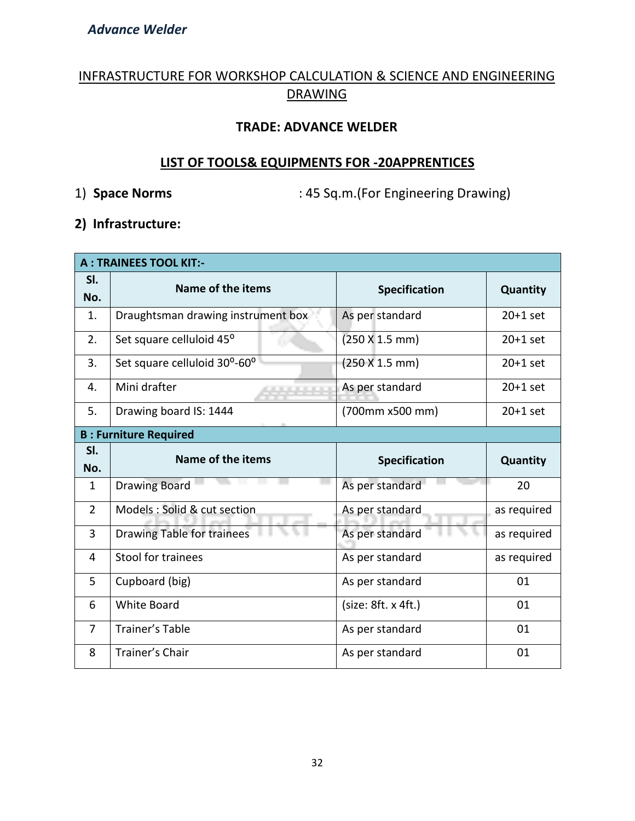#### INFRASTRUCTURE FOR WORKSHOP CALCULATION & SCIENCE AND ENGINEERING DRAWING

#### **TRADE: ADVANCE WELDER**

#### **LIST OF TOOLS& EQUIPMENTS FOR -20APPRENTICES**

1) **Space Norms** : 45 Sq.m.(For Engineering Drawing)

#### **2) Infrastructure:**

| <b>A: TRAINEES TOOL KIT:-</b> |                                    |                               |             |  |  |  |  |  |  |  |
|-------------------------------|------------------------------------|-------------------------------|-------------|--|--|--|--|--|--|--|
| SI.<br>No.                    | Name of the items                  | <b>Specification</b>          | Quantity    |  |  |  |  |  |  |  |
| 1.                            | Draughtsman drawing instrument box | As per standard               | $20+1$ set  |  |  |  |  |  |  |  |
| 2.                            | Set square celluloid 45°           | (250 X 1.5 mm)                | $20+1$ set  |  |  |  |  |  |  |  |
| 3.                            | Set square celluloid 30°-60°       | $(250 \times 1.5 \text{ mm})$ | $20+1$ set  |  |  |  |  |  |  |  |
| 4.                            | Mini drafter<br>2010/01/23         | As per standard               | $20+1$ set  |  |  |  |  |  |  |  |
| 5.                            | Drawing board IS: 1444             | (700mm x500 mm)               | $20+1$ set  |  |  |  |  |  |  |  |
|                               | <b>B: Furniture Required</b>       |                               |             |  |  |  |  |  |  |  |
| SI.                           | Name of the items                  | <b>Specification</b>          | Quantity    |  |  |  |  |  |  |  |
| No.                           |                                    |                               |             |  |  |  |  |  |  |  |
| 1                             | <b>Drawing Board</b>               | As per standard               | 20          |  |  |  |  |  |  |  |
|                               |                                    |                               |             |  |  |  |  |  |  |  |
| $\overline{2}$                | Models: Solid & cut section        | As per standard               | as required |  |  |  |  |  |  |  |
| $\overline{3}$                | <b>Drawing Table for trainees</b>  | As per standard               | as required |  |  |  |  |  |  |  |
| 4                             | Stool for trainees                 | As per standard               | as required |  |  |  |  |  |  |  |
| 5                             | Cupboard (big)                     | As per standard               | 01          |  |  |  |  |  |  |  |
| 6                             | <b>White Board</b>                 | (size: 8ft. x 4ft.)           | 01          |  |  |  |  |  |  |  |
| $\overline{7}$                | Trainer's Table                    | As per standard               | 01          |  |  |  |  |  |  |  |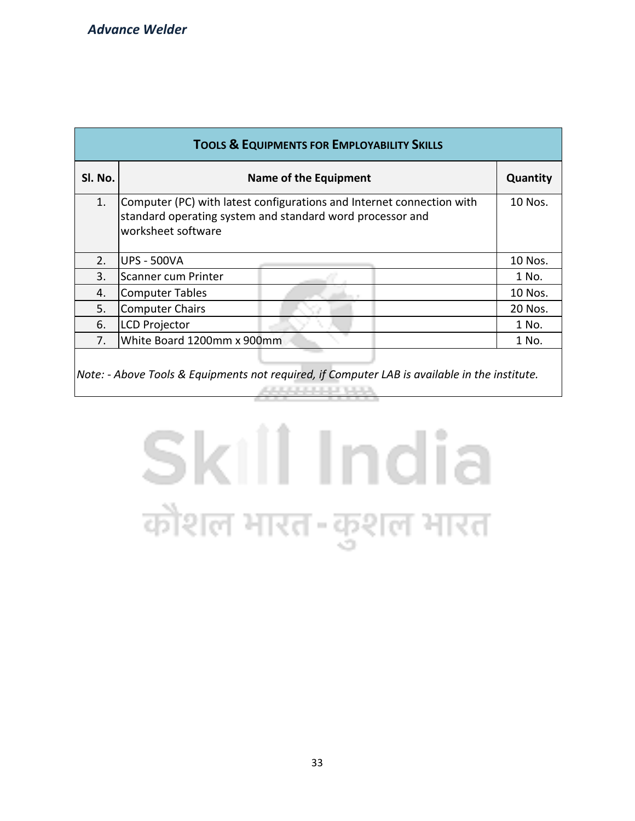| <b>TOOLS &amp; EQUIPMENTS FOR EMPLOYABILITY SKILLS</b>                                                |                                                                                                                                                          |         |  |  |  |  |  |  |  |
|-------------------------------------------------------------------------------------------------------|----------------------------------------------------------------------------------------------------------------------------------------------------------|---------|--|--|--|--|--|--|--|
| Sl. No.                                                                                               | Name of the Equipment                                                                                                                                    |         |  |  |  |  |  |  |  |
| 1.                                                                                                    | Computer (PC) with latest configurations and Internet connection with<br>standard operating system and standard word processor and<br>worksheet software |         |  |  |  |  |  |  |  |
| 2.                                                                                                    | <b>UPS - 500VA</b>                                                                                                                                       | 10 Nos. |  |  |  |  |  |  |  |
| 3.                                                                                                    | Scanner cum Printer                                                                                                                                      | 1 No.   |  |  |  |  |  |  |  |
| 4.                                                                                                    | <b>Computer Tables</b>                                                                                                                                   | 10 Nos. |  |  |  |  |  |  |  |
| 5.                                                                                                    | <b>Computer Chairs</b>                                                                                                                                   | 20 Nos. |  |  |  |  |  |  |  |
| 6.                                                                                                    | <b>LCD Projector</b>                                                                                                                                     | 1 No.   |  |  |  |  |  |  |  |
| 7.                                                                                                    | White Board 1200mm x 900mm                                                                                                                               | 1 No.   |  |  |  |  |  |  |  |
| $\vert$ Note: - Above Tools & Equipments not required, if Computer LAB is available in the institute. |                                                                                                                                                          |         |  |  |  |  |  |  |  |

# Skill India कौशल भारत-कुशल भारत